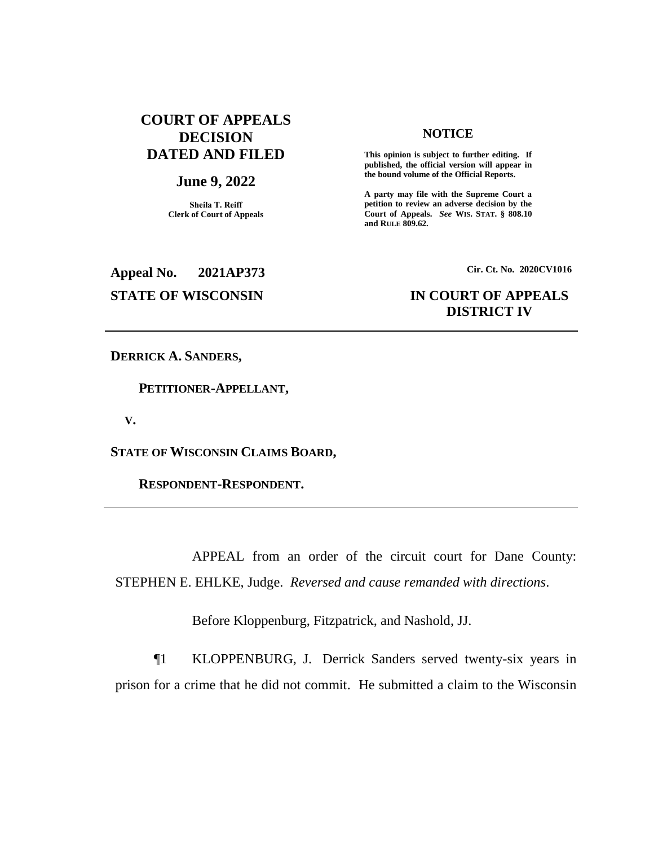## **COURT OF APPEALS DECISION DATED AND FILED**

#### **June 9, 2022**

**Sheila T. Reiff Clerk of Court of Appeals**

#### **NOTICE**

**This opinion is subject to further editing. If published, the official version will appear in the bound volume of the Official Reports.** 

**A party may file with the Supreme Court a petition to review an adverse decision by the Court of Appeals.** *See* **WIS. STAT. § 808.10 and RULE 809.62.** 

**Appeal No. 2021AP373 Cir. Ct. No. 2020CV1016 STATE OF WISCONSIN IN COURT OF APPEALS**

# **DISTRICT IV**

**DERRICK A. SANDERS,**

 **PETITIONER-APPELLANT,**

 **V.**

**STATE OF WISCONSIN CLAIMS BOARD,**

 **RESPONDENT-RESPONDENT.**

APPEAL from an order of the circuit court for Dane County: STEPHEN E. EHLKE, Judge. *Reversed and cause remanded with directions*.

Before Kloppenburg, Fitzpatrick, and Nashold, JJ.

¶1 KLOPPENBURG, J. Derrick Sanders served twenty-six years in prison for a crime that he did not commit. He submitted a claim to the Wisconsin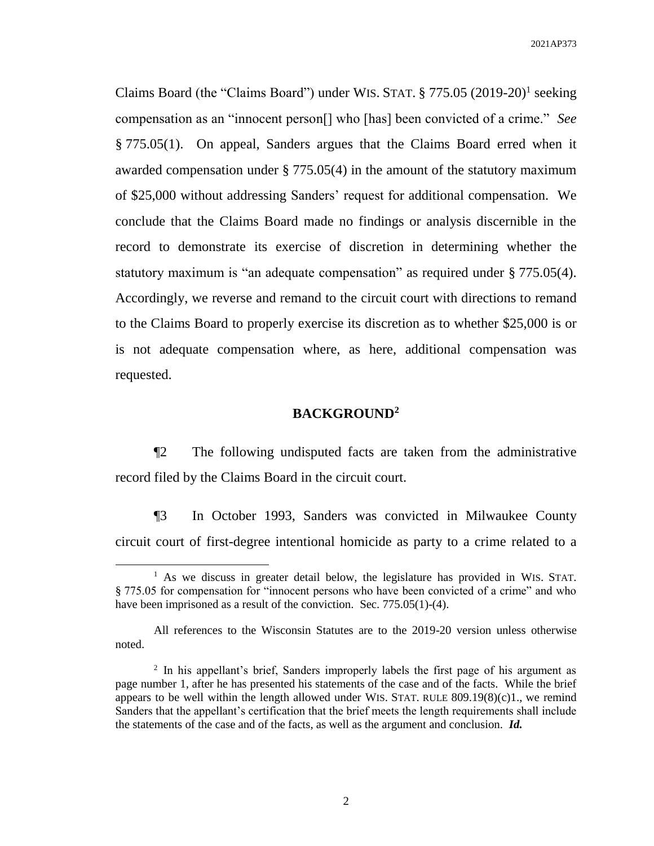Claims Board (the "Claims Board") under WIS. STAT.  $\S 775.05 (2019-20)^1$  seeking compensation as an "innocent person[] who [has] been convicted of a crime." *See* § 775.05(1). On appeal, Sanders argues that the Claims Board erred when it awarded compensation under § 775.05(4) in the amount of the statutory maximum of \$25,000 without addressing Sanders' request for additional compensation. We conclude that the Claims Board made no findings or analysis discernible in the record to demonstrate its exercise of discretion in determining whether the statutory maximum is "an adequate compensation" as required under § 775.05(4). Accordingly, we reverse and remand to the circuit court with directions to remand to the Claims Board to properly exercise its discretion as to whether \$25,000 is or is not adequate compensation where, as here, additional compensation was requested.

## **BACKGROUND<sup>2</sup>**

¶2 The following undisputed facts are taken from the administrative record filed by the Claims Board in the circuit court.

¶3 In October 1993, Sanders was convicted in Milwaukee County circuit court of first-degree intentional homicide as party to a crime related to a

 $\overline{\phantom{a}}$ 

<sup>&</sup>lt;sup>1</sup> As we discuss in greater detail below, the legislature has provided in WIS. STAT. § 775.05 for compensation for "innocent persons who have been convicted of a crime" and who have been imprisoned as a result of the conviction. Sec. 775.05(1)-(4).

All references to the Wisconsin Statutes are to the 2019-20 version unless otherwise noted.

<sup>&</sup>lt;sup>2</sup> In his appellant's brief, Sanders improperly labels the first page of his argument as page number 1, after he has presented his statements of the case and of the facts. While the brief appears to be well within the length allowed under WIS. STAT. RULE  $809.19(8)(c)1$ ., we remind Sanders that the appellant's certification that the brief meets the length requirements shall include the statements of the case and of the facts, as well as the argument and conclusion. *Id.*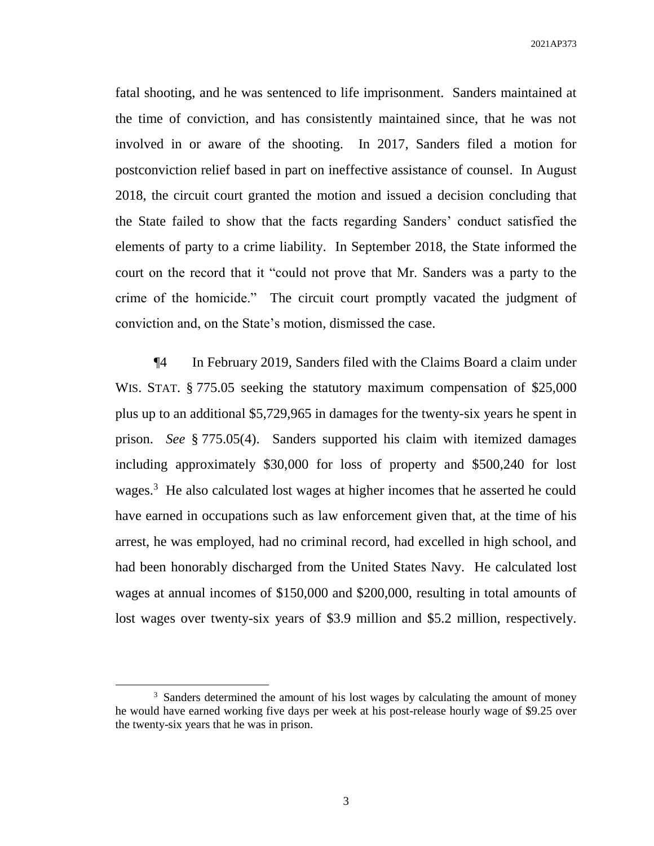fatal shooting, and he was sentenced to life imprisonment. Sanders maintained at the time of conviction, and has consistently maintained since, that he was not involved in or aware of the shooting. In 2017, Sanders filed a motion for postconviction relief based in part on ineffective assistance of counsel. In August 2018, the circuit court granted the motion and issued a decision concluding that the State failed to show that the facts regarding Sanders' conduct satisfied the elements of party to a crime liability. In September 2018, the State informed the court on the record that it "could not prove that Mr. Sanders was a party to the crime of the homicide." The circuit court promptly vacated the judgment of conviction and, on the State's motion, dismissed the case.

¶4 In February 2019, Sanders filed with the Claims Board a claim under WIS. STAT. § 775.05 seeking the statutory maximum compensation of \$25,000 plus up to an additional \$5,729,965 in damages for the twenty-six years he spent in prison. *See* § 775.05(4). Sanders supported his claim with itemized damages including approximately \$30,000 for loss of property and \$500,240 for lost wages.<sup>3</sup> He also calculated lost wages at higher incomes that he asserted he could have earned in occupations such as law enforcement given that, at the time of his arrest, he was employed, had no criminal record, had excelled in high school, and had been honorably discharged from the United States Navy. He calculated lost wages at annual incomes of \$150,000 and \$200,000, resulting in total amounts of lost wages over twenty-six years of \$3.9 million and \$5.2 million, respectively.

 $\overline{\phantom{a}}$ 

<sup>&</sup>lt;sup>3</sup> Sanders determined the amount of his lost wages by calculating the amount of money he would have earned working five days per week at his post-release hourly wage of \$9.25 over the twenty-six years that he was in prison.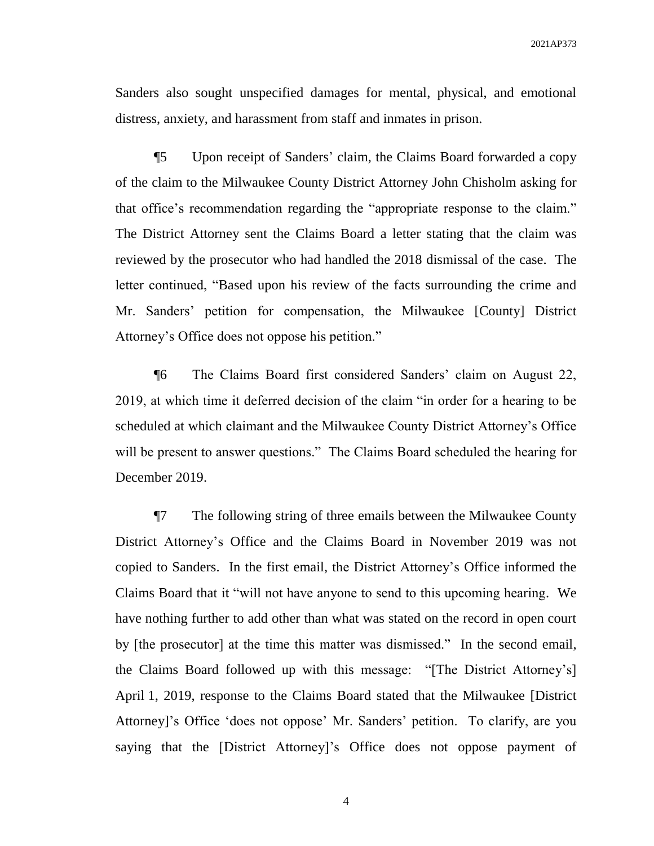Sanders also sought unspecified damages for mental, physical, and emotional distress, anxiety, and harassment from staff and inmates in prison.

¶5 Upon receipt of Sanders' claim, the Claims Board forwarded a copy of the claim to the Milwaukee County District Attorney John Chisholm asking for that office's recommendation regarding the "appropriate response to the claim." The District Attorney sent the Claims Board a letter stating that the claim was reviewed by the prosecutor who had handled the 2018 dismissal of the case. The letter continued, "Based upon his review of the facts surrounding the crime and Mr. Sanders' petition for compensation, the Milwaukee [County] District Attorney's Office does not oppose his petition."

¶6 The Claims Board first considered Sanders' claim on August 22, 2019, at which time it deferred decision of the claim "in order for a hearing to be scheduled at which claimant and the Milwaukee County District Attorney's Office will be present to answer questions." The Claims Board scheduled the hearing for December 2019.

¶7 The following string of three emails between the Milwaukee County District Attorney's Office and the Claims Board in November 2019 was not copied to Sanders. In the first email, the District Attorney's Office informed the Claims Board that it "will not have anyone to send to this upcoming hearing. We have nothing further to add other than what was stated on the record in open court by [the prosecutor] at the time this matter was dismissed." In the second email, the Claims Board followed up with this message: "[The District Attorney's] April 1, 2019, response to the Claims Board stated that the Milwaukee [District Attorney]'s Office 'does not oppose' Mr. Sanders' petition. To clarify, are you saying that the [District Attorney]'s Office does not oppose payment of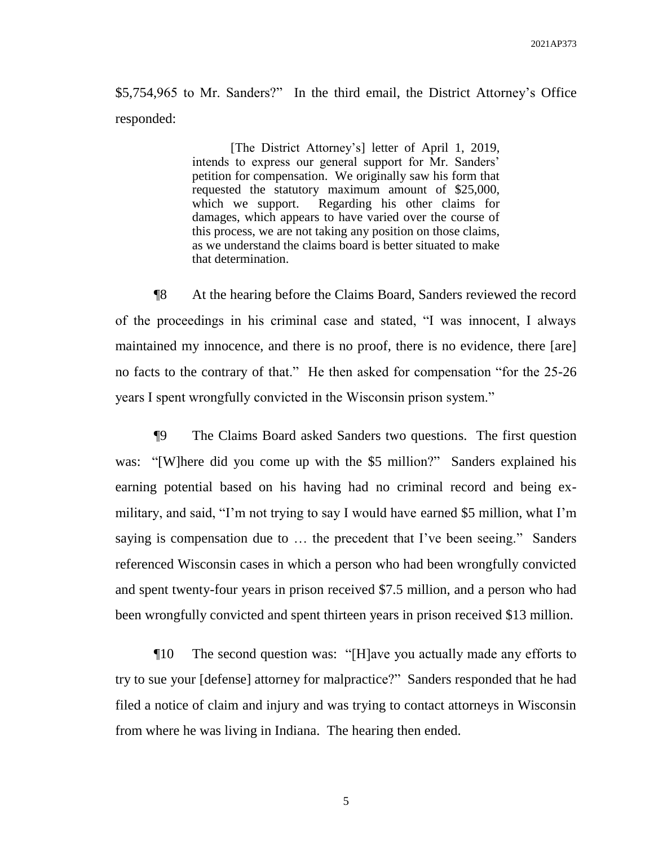\$5,754,965 to Mr. Sanders?" In the third email, the District Attorney's Office responded:

> [The District Attorney's] letter of April 1, 2019, intends to express our general support for Mr. Sanders' petition for compensation. We originally saw his form that requested the statutory maximum amount of \$25,000, which we support. Regarding his other claims for damages, which appears to have varied over the course of this process, we are not taking any position on those claims, as we understand the claims board is better situated to make that determination.

¶8 At the hearing before the Claims Board, Sanders reviewed the record of the proceedings in his criminal case and stated, "I was innocent, I always maintained my innocence, and there is no proof, there is no evidence, there [are] no facts to the contrary of that." He then asked for compensation "for the 25-26 years I spent wrongfully convicted in the Wisconsin prison system."

¶9 The Claims Board asked Sanders two questions. The first question was: "[W]here did you come up with the \$5 million?" Sanders explained his earning potential based on his having had no criminal record and being exmilitary, and said, "I'm not trying to say I would have earned \$5 million, what I'm saying is compensation due to … the precedent that I've been seeing." Sanders referenced Wisconsin cases in which a person who had been wrongfully convicted and spent twenty-four years in prison received \$7.5 million, and a person who had been wrongfully convicted and spent thirteen years in prison received \$13 million.

¶10 The second question was: "[H]ave you actually made any efforts to try to sue your [defense] attorney for malpractice?" Sanders responded that he had filed a notice of claim and injury and was trying to contact attorneys in Wisconsin from where he was living in Indiana. The hearing then ended.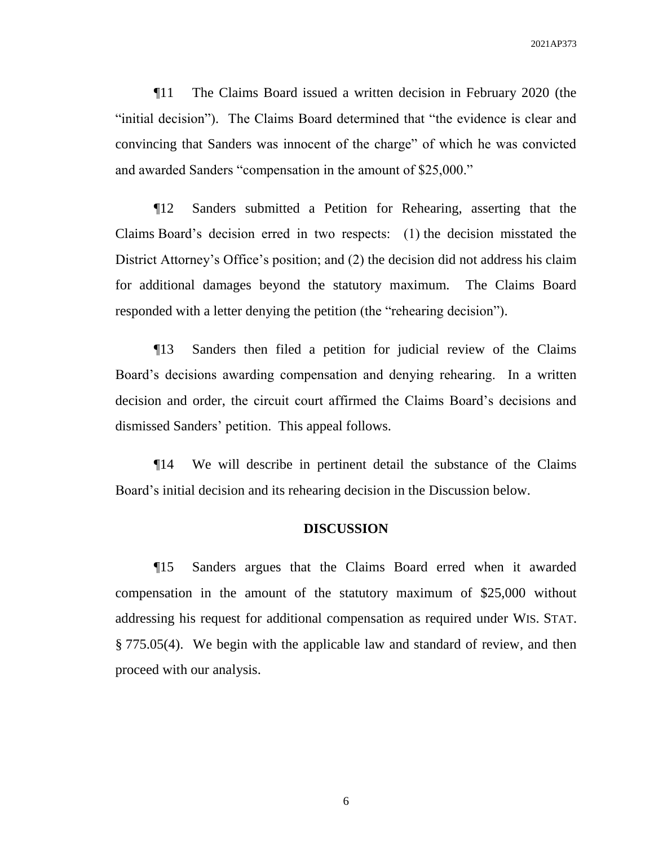¶11 The Claims Board issued a written decision in February 2020 (the "initial decision"). The Claims Board determined that "the evidence is clear and convincing that Sanders was innocent of the charge" of which he was convicted and awarded Sanders "compensation in the amount of \$25,000."

¶12 Sanders submitted a Petition for Rehearing, asserting that the Claims Board's decision erred in two respects: (1) the decision misstated the District Attorney's Office's position; and (2) the decision did not address his claim for additional damages beyond the statutory maximum. The Claims Board responded with a letter denying the petition (the "rehearing decision").

¶13 Sanders then filed a petition for judicial review of the Claims Board's decisions awarding compensation and denying rehearing. In a written decision and order, the circuit court affirmed the Claims Board's decisions and dismissed Sanders' petition. This appeal follows.

¶14 We will describe in pertinent detail the substance of the Claims Board's initial decision and its rehearing decision in the Discussion below.

#### **DISCUSSION**

¶15 Sanders argues that the Claims Board erred when it awarded compensation in the amount of the statutory maximum of \$25,000 without addressing his request for additional compensation as required under WIS. STAT. § 775.05(4). We begin with the applicable law and standard of review, and then proceed with our analysis.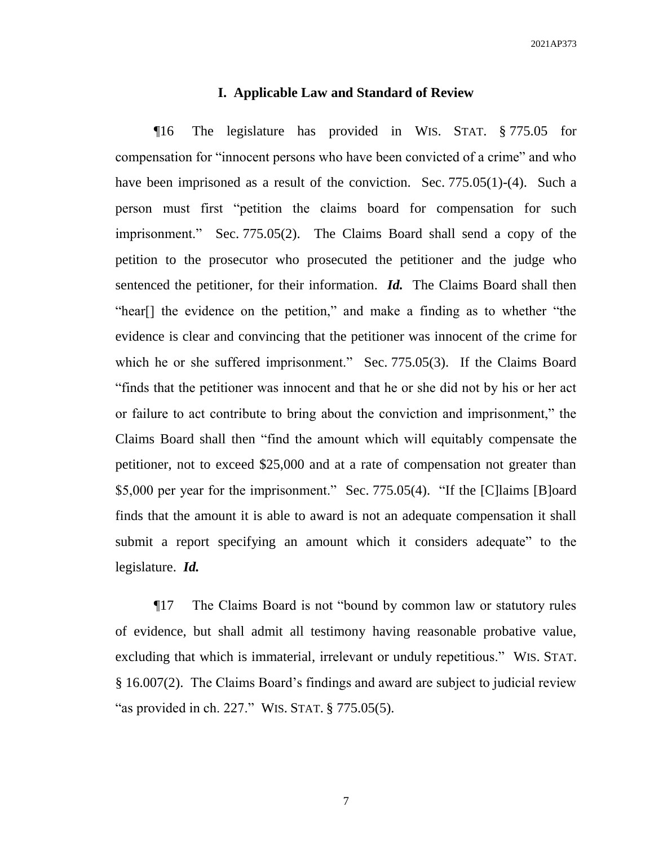#### **I. Applicable Law and Standard of Review**

¶16 The legislature has provided in WIS. STAT. § 775.05 for compensation for "innocent persons who have been convicted of a crime" and who have been imprisoned as a result of the conviction. Sec. 775.05(1)-(4). Such a person must first "petition the claims board for compensation for such imprisonment." Sec. 775.05(2). The Claims Board shall send a copy of the petition to the prosecutor who prosecuted the petitioner and the judge who sentenced the petitioner, for their information. *Id.* The Claims Board shall then "hear[] the evidence on the petition," and make a finding as to whether "the evidence is clear and convincing that the petitioner was innocent of the crime for which he or she suffered imprisonment." Sec. 775.05(3). If the Claims Board "finds that the petitioner was innocent and that he or she did not by his or her act or failure to act contribute to bring about the conviction and imprisonment," the Claims Board shall then "find the amount which will equitably compensate the petitioner, not to exceed \$25,000 and at a rate of compensation not greater than \$5,000 per year for the imprisonment." Sec. 775.05(4). "If the [C]laims [B]oard finds that the amount it is able to award is not an adequate compensation it shall submit a report specifying an amount which it considers adequate" to the legislature. *Id.*

¶17 The Claims Board is not "bound by common law or statutory rules of evidence, but shall admit all testimony having reasonable probative value, excluding that which is immaterial, irrelevant or unduly repetitious." WIS. STAT. § 16.007(2). The Claims Board's findings and award are subject to judicial review "as provided in ch. 227." WIS. STAT. § 775.05(5).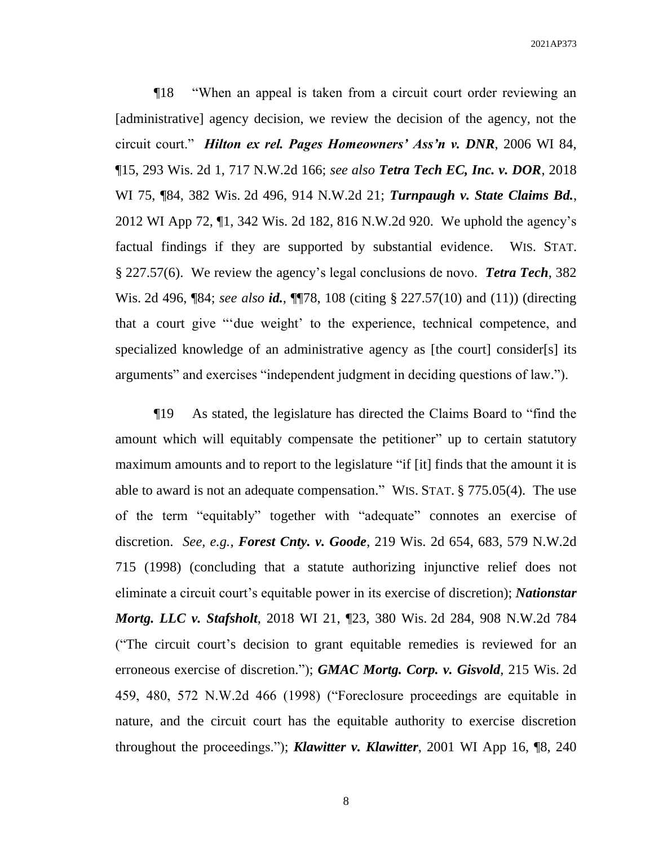¶18 "When an appeal is taken from a circuit court order reviewing an [administrative] agency decision, we review the decision of the agency, not the circuit court." *Hilton ex rel. Pages Homeowners' Ass'n v. DNR*, 2006 WI 84, ¶15, 293 Wis. 2d 1, 717 N.W.2d 166; *see also Tetra Tech EC, Inc. v. DOR*, 2018 WI 75, ¶84, 382 Wis. 2d 496, 914 N.W.2d 21; *Turnpaugh v. State Claims Bd.*, 2012 WI App 72, ¶1, 342 Wis. 2d 182, 816 N.W.2d 920. We uphold the agency's factual findings if they are supported by substantial evidence. WIS. STAT. § 227.57(6). We review the agency's legal conclusions de novo. *Tetra Tech*, 382 Wis. 2d 496, ¶84; *see also id.*, ¶¶78, 108 (citing § 227.57(10) and (11)) (directing that a court give "'due weight' to the experience, technical competence, and specialized knowledge of an administrative agency as [the court] consider[s] its arguments" and exercises "independent judgment in deciding questions of law.").

¶19 As stated, the legislature has directed the Claims Board to "find the amount which will equitably compensate the petitioner" up to certain statutory maximum amounts and to report to the legislature "if [it] finds that the amount it is able to award is not an adequate compensation." WIS. STAT. § 775.05(4). The use of the term "equitably" together with "adequate" connotes an exercise of discretion. *See, e.g.*, *Forest Cnty. v. Goode*, 219 Wis. 2d 654, 683, 579 N.W.2d 715 (1998) (concluding that a statute authorizing injunctive relief does not eliminate a circuit court's equitable power in its exercise of discretion); *Nationstar Mortg. LLC v. Stafsholt*, 2018 WI 21, ¶23, 380 Wis. 2d 284, 908 N.W.2d 784 ("The circuit court's decision to grant equitable remedies is reviewed for an erroneous exercise of discretion."); *GMAC Mortg. Corp. v. Gisvold*, 215 Wis. 2d 459, 480, 572 N.W.2d 466 (1998) ("Foreclosure proceedings are equitable in nature, and the circuit court has the equitable authority to exercise discretion throughout the proceedings."); *Klawitter v. Klawitter*, 2001 WI App 16, ¶8, 240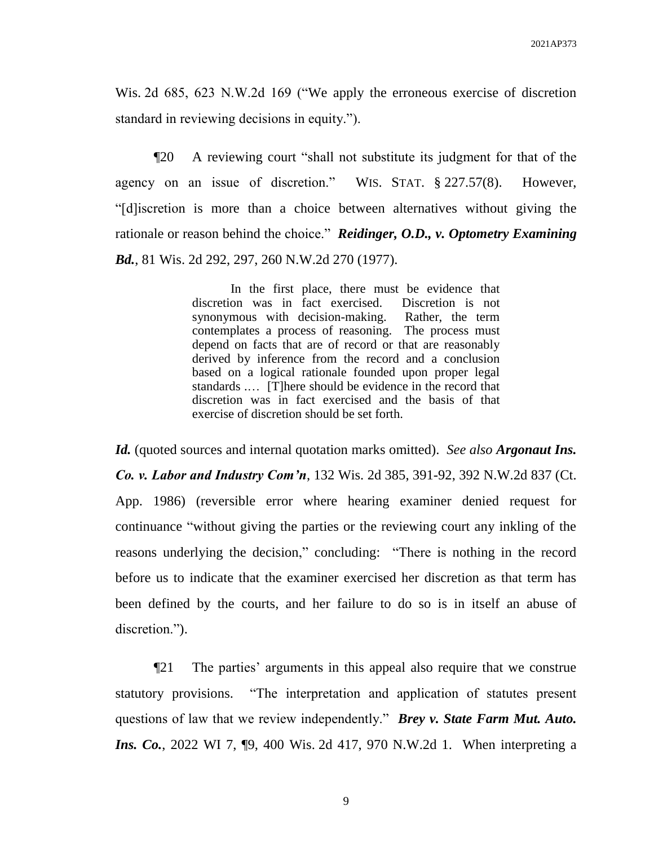Wis. 2d 685, 623 N.W.2d 169 ("We apply the erroneous exercise of discretion standard in reviewing decisions in equity.").

¶20 A reviewing court "shall not substitute its judgment for that of the agency on an issue of discretion." WIS. STAT. § 227.57(8). However, "[d]iscretion is more than a choice between alternatives without giving the rationale or reason behind the choice." *Reidinger, O.D., v. Optometry Examining Bd.*, 81 Wis. 2d 292, 297, 260 N.W.2d 270 (1977).

> In the first place, there must be evidence that discretion was in fact exercised. Discretion is not synonymous with decision-making. Rather, the term contemplates a process of reasoning. The process must depend on facts that are of record or that are reasonably derived by inference from the record and a conclusion based on a logical rationale founded upon proper legal standards .… [T]here should be evidence in the record that discretion was in fact exercised and the basis of that exercise of discretion should be set forth.

*Id.* (quoted sources and internal quotation marks omitted). *See also Argonaut Ins. Co. v. Labor and Industry Com'n*, 132 Wis. 2d 385, 391-92, 392 N.W.2d 837 (Ct. App. 1986) (reversible error where hearing examiner denied request for continuance "without giving the parties or the reviewing court any inkling of the reasons underlying the decision," concluding: "There is nothing in the record before us to indicate that the examiner exercised her discretion as that term has been defined by the courts, and her failure to do so is in itself an abuse of discretion.").

¶21 The parties' arguments in this appeal also require that we construe statutory provisions. "The interpretation and application of statutes present questions of law that we review independently." *Brey v. State Farm Mut. Auto. Ins. Co.*, 2022 WI 7, 19, 400 Wis. 2d 417, 970 N.W.2d 1. When interpreting a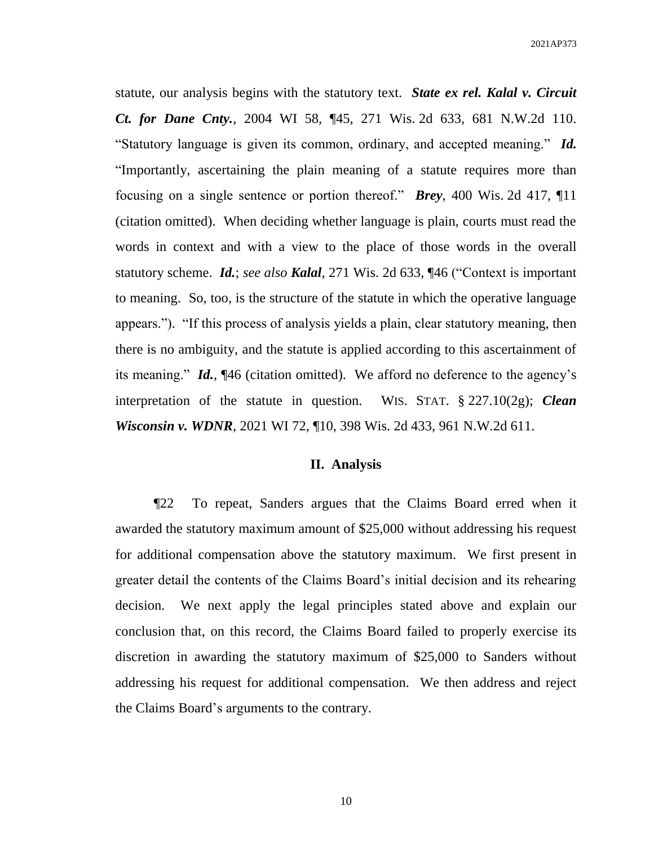statute, our analysis begins with the statutory text. *State ex rel. Kalal v. Circuit Ct. for Dane Cnty.*, 2004 WI 58, ¶45, 271 Wis. 2d 633, 681 N.W.2d 110. "Statutory language is given its common, ordinary, and accepted meaning." *Id.* "Importantly, ascertaining the plain meaning of a statute requires more than focusing on a single sentence or portion thereof." *Brey*, 400 Wis. 2d 417, ¶11 (citation omitted). When deciding whether language is plain, courts must read the words in context and with a view to the place of those words in the overall statutory scheme. *Id.*; *see also Kalal*, 271 Wis. 2d 633, ¶46 ("Context is important to meaning. So, too, is the structure of the statute in which the operative language appears."). "If this process of analysis yields a plain, clear statutory meaning, then there is no ambiguity, and the statute is applied according to this ascertainment of its meaning." *Id.*, ¶46 (citation omitted). We afford no deference to the agency's interpretation of the statute in question. WIS. STAT. § 227.10(2g); *Clean Wisconsin v. WDNR*, 2021 WI 72, ¶10, 398 Wis. 2d 433, 961 N.W.2d 611.

#### **II. Analysis**

¶22 To repeat, Sanders argues that the Claims Board erred when it awarded the statutory maximum amount of \$25,000 without addressing his request for additional compensation above the statutory maximum. We first present in greater detail the contents of the Claims Board's initial decision and its rehearing decision. We next apply the legal principles stated above and explain our conclusion that, on this record, the Claims Board failed to properly exercise its discretion in awarding the statutory maximum of \$25,000 to Sanders without addressing his request for additional compensation. We then address and reject the Claims Board's arguments to the contrary.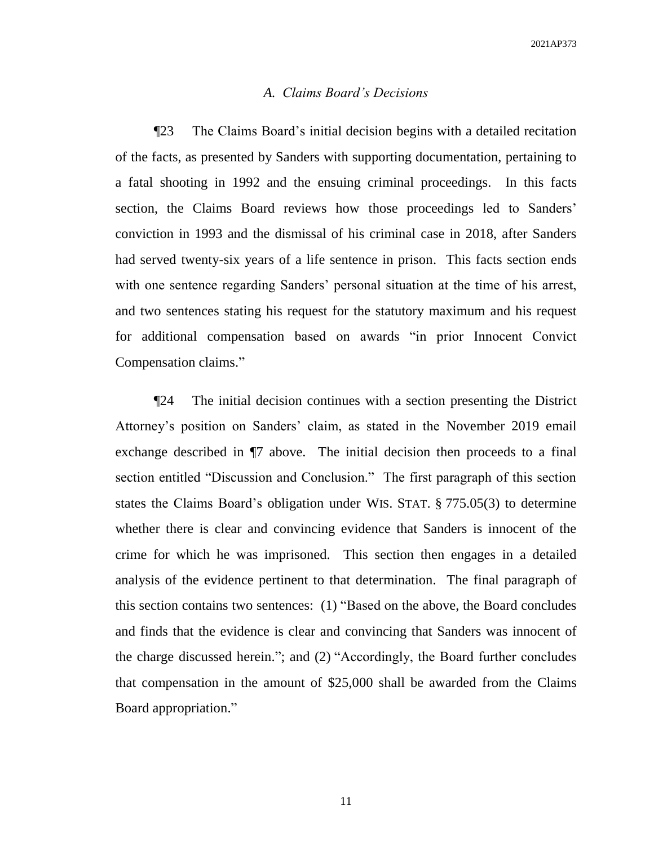#### *A. Claims Board's Decisions*

¶23 The Claims Board's initial decision begins with a detailed recitation of the facts, as presented by Sanders with supporting documentation, pertaining to a fatal shooting in 1992 and the ensuing criminal proceedings. In this facts section, the Claims Board reviews how those proceedings led to Sanders' conviction in 1993 and the dismissal of his criminal case in 2018, after Sanders had served twenty-six years of a life sentence in prison. This facts section ends with one sentence regarding Sanders' personal situation at the time of his arrest, and two sentences stating his request for the statutory maximum and his request for additional compensation based on awards "in prior Innocent Convict Compensation claims."

¶24 The initial decision continues with a section presenting the District Attorney's position on Sanders' claim, as stated in the November 2019 email exchange described in ¶7 above. The initial decision then proceeds to a final section entitled "Discussion and Conclusion." The first paragraph of this section states the Claims Board's obligation under WIS. STAT. § 775.05(3) to determine whether there is clear and convincing evidence that Sanders is innocent of the crime for which he was imprisoned. This section then engages in a detailed analysis of the evidence pertinent to that determination. The final paragraph of this section contains two sentences: (1) "Based on the above, the Board concludes and finds that the evidence is clear and convincing that Sanders was innocent of the charge discussed herein."; and (2) "Accordingly, the Board further concludes that compensation in the amount of \$25,000 shall be awarded from the Claims Board appropriation."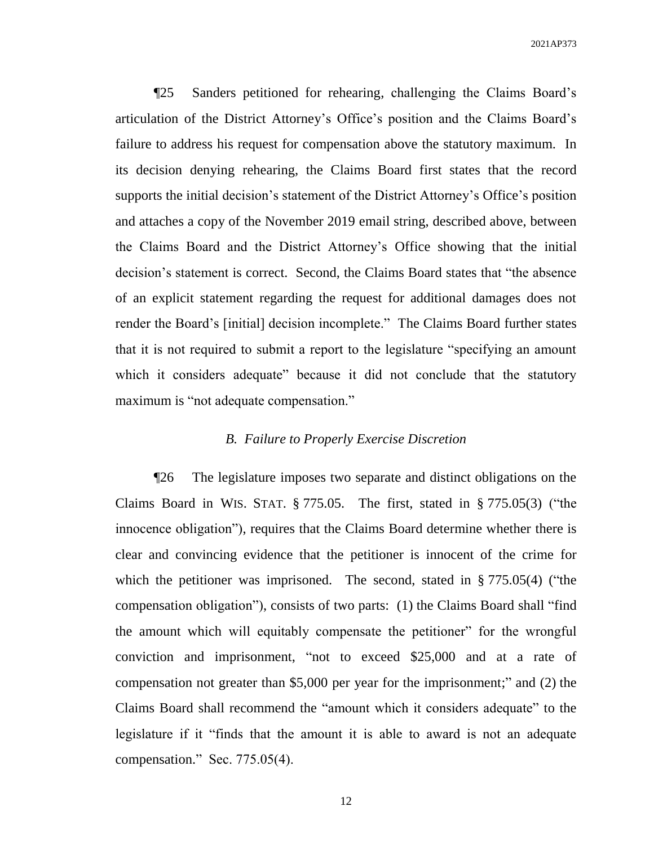¶25 Sanders petitioned for rehearing, challenging the Claims Board's articulation of the District Attorney's Office's position and the Claims Board's failure to address his request for compensation above the statutory maximum. In its decision denying rehearing, the Claims Board first states that the record supports the initial decision's statement of the District Attorney's Office's position and attaches a copy of the November 2019 email string, described above, between the Claims Board and the District Attorney's Office showing that the initial decision's statement is correct. Second, the Claims Board states that "the absence of an explicit statement regarding the request for additional damages does not render the Board's [initial] decision incomplete." The Claims Board further states that it is not required to submit a report to the legislature "specifying an amount which it considers adequate" because it did not conclude that the statutory maximum is "not adequate compensation."

#### *B. Failure to Properly Exercise Discretion*

¶26 The legislature imposes two separate and distinct obligations on the Claims Board in WIS. STAT. § 775.05. The first, stated in § 775.05(3) ("the innocence obligation"), requires that the Claims Board determine whether there is clear and convincing evidence that the petitioner is innocent of the crime for which the petitioner was imprisoned. The second, stated in § 775.05(4) ("the compensation obligation"), consists of two parts: (1) the Claims Board shall "find the amount which will equitably compensate the petitioner" for the wrongful conviction and imprisonment, "not to exceed \$25,000 and at a rate of compensation not greater than \$5,000 per year for the imprisonment;" and (2) the Claims Board shall recommend the "amount which it considers adequate" to the legislature if it "finds that the amount it is able to award is not an adequate compensation." Sec. 775.05(4).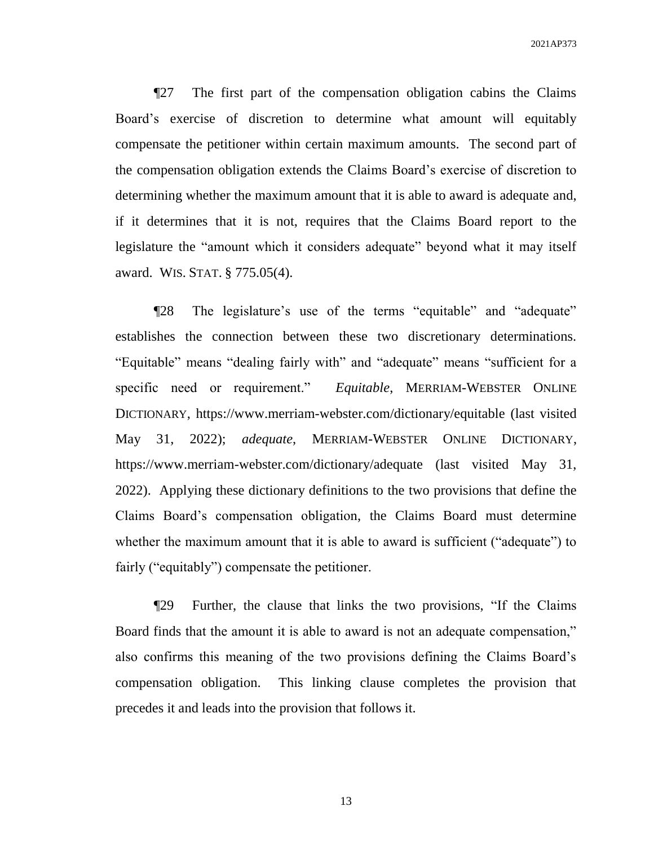¶27 The first part of the compensation obligation cabins the Claims Board's exercise of discretion to determine what amount will equitably compensate the petitioner within certain maximum amounts. The second part of the compensation obligation extends the Claims Board's exercise of discretion to determining whether the maximum amount that it is able to award is adequate and, if it determines that it is not, requires that the Claims Board report to the legislature the "amount which it considers adequate" beyond what it may itself award. WIS. STAT. § 775.05(4).

¶28 The legislature's use of the terms "equitable" and "adequate" establishes the connection between these two discretionary determinations. "Equitable" means "dealing fairly with" and "adequate" means "sufficient for a specific need or requirement." *Equitable*, MERRIAM-WEBSTER ONLINE DICTIONARY, https://www.merriam-webster.com/dictionary/equitable (last visited May 31, 2022); *adequate*, MERRIAM-WEBSTER ONLINE DICTIONARY, <https://www.merriam-webster.com/dictionary/adequate> (last visited May 31, 2022). Applying these dictionary definitions to the two provisions that define the Claims Board's compensation obligation, the Claims Board must determine whether the maximum amount that it is able to award is sufficient ("adequate") to fairly ("equitably") compensate the petitioner.

¶29 Further, the clause that links the two provisions, "If the Claims Board finds that the amount it is able to award is not an adequate compensation," also confirms this meaning of the two provisions defining the Claims Board's compensation obligation. This linking clause completes the provision that precedes it and leads into the provision that follows it.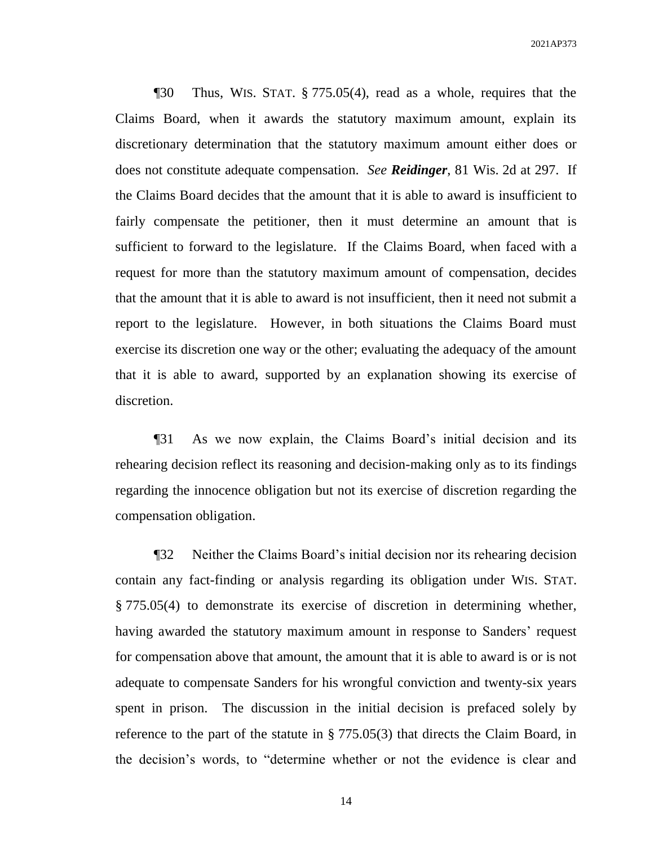¶30 Thus, WIS. STAT. § 775.05(4), read as a whole, requires that the Claims Board, when it awards the statutory maximum amount, explain its discretionary determination that the statutory maximum amount either does or does not constitute adequate compensation. *See Reidinger*, 81 Wis. 2d at 297. If the Claims Board decides that the amount that it is able to award is insufficient to fairly compensate the petitioner, then it must determine an amount that is sufficient to forward to the legislature. If the Claims Board, when faced with a request for more than the statutory maximum amount of compensation, decides that the amount that it is able to award is not insufficient, then it need not submit a report to the legislature. However, in both situations the Claims Board must exercise its discretion one way or the other; evaluating the adequacy of the amount that it is able to award, supported by an explanation showing its exercise of discretion.

¶31 As we now explain, the Claims Board's initial decision and its rehearing decision reflect its reasoning and decision-making only as to its findings regarding the innocence obligation but not its exercise of discretion regarding the compensation obligation.

¶32 Neither the Claims Board's initial decision nor its rehearing decision contain any fact-finding or analysis regarding its obligation under WIS. STAT. § 775.05(4) to demonstrate its exercise of discretion in determining whether, having awarded the statutory maximum amount in response to Sanders' request for compensation above that amount, the amount that it is able to award is or is not adequate to compensate Sanders for his wrongful conviction and twenty-six years spent in prison. The discussion in the initial decision is prefaced solely by reference to the part of the statute in § 775.05(3) that directs the Claim Board, in the decision's words, to "determine whether or not the evidence is clear and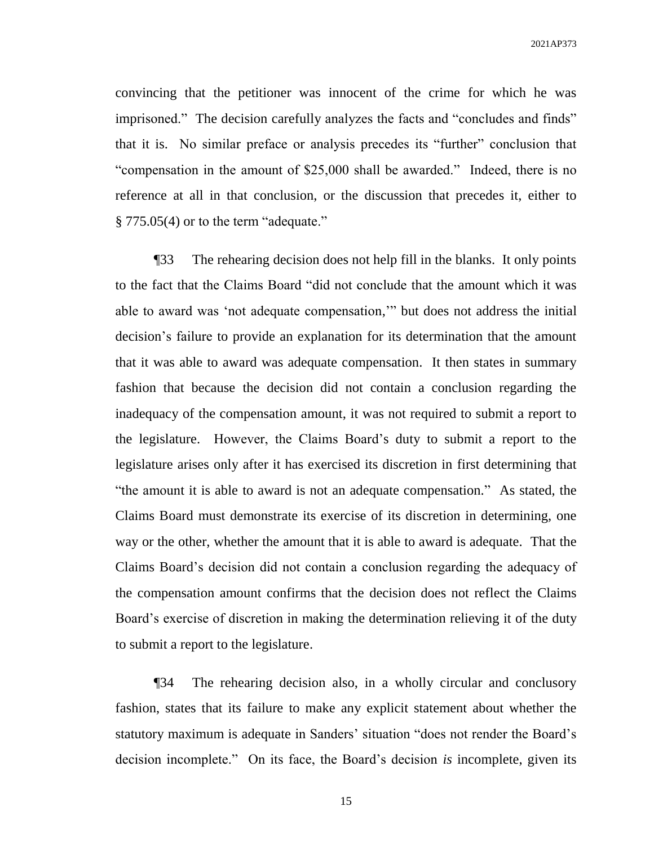convincing that the petitioner was innocent of the crime for which he was imprisoned." The decision carefully analyzes the facts and "concludes and finds" that it is. No similar preface or analysis precedes its "further" conclusion that "compensation in the amount of \$25,000 shall be awarded." Indeed, there is no reference at all in that conclusion, or the discussion that precedes it, either to § 775.05(4) or to the term "adequate."

¶33 The rehearing decision does not help fill in the blanks. It only points to the fact that the Claims Board "did not conclude that the amount which it was able to award was 'not adequate compensation,'" but does not address the initial decision's failure to provide an explanation for its determination that the amount that it was able to award was adequate compensation. It then states in summary fashion that because the decision did not contain a conclusion regarding the inadequacy of the compensation amount, it was not required to submit a report to the legislature. However, the Claims Board's duty to submit a report to the legislature arises only after it has exercised its discretion in first determining that "the amount it is able to award is not an adequate compensation." As stated, the Claims Board must demonstrate its exercise of its discretion in determining, one way or the other, whether the amount that it is able to award is adequate. That the Claims Board's decision did not contain a conclusion regarding the adequacy of the compensation amount confirms that the decision does not reflect the Claims Board's exercise of discretion in making the determination relieving it of the duty to submit a report to the legislature.

¶34 The rehearing decision also, in a wholly circular and conclusory fashion, states that its failure to make any explicit statement about whether the statutory maximum is adequate in Sanders' situation "does not render the Board's decision incomplete." On its face, the Board's decision *is* incomplete, given its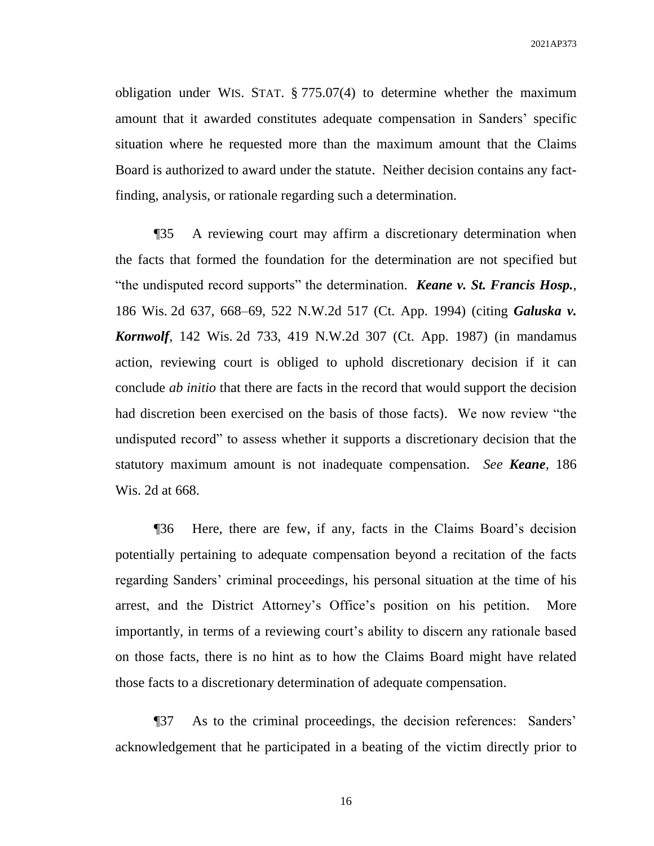obligation under WIS. STAT. § 775.07(4) to determine whether the maximum amount that it awarded constitutes adequate compensation in Sanders' specific situation where he requested more than the maximum amount that the Claims Board is authorized to award under the statute. Neither decision contains any factfinding, analysis, or rationale regarding such a determination.

¶35 A reviewing court may affirm a discretionary determination when the facts that formed the foundation for the determination are not specified but "the undisputed record supports" the determination. *Keane v. St. Francis Hosp.*, 186 Wis. 2d 637, 668–69, 522 N.W.2d 517 (Ct. App. 1994) (citing *Galuska v. Kornwolf*, 142 Wis. 2d 733, 419 N.W.2d 307 (Ct. App. 1987) (in mandamus action, reviewing court is obliged to uphold discretionary decision if it can conclude *ab initio* that there are facts in the record that would support the decision had discretion been exercised on the basis of those facts). We now review "the undisputed record" to assess whether it supports a discretionary decision that the statutory maximum amount is not inadequate compensation. *See Keane*, 186 Wis. 2d at 668.

¶36 Here, there are few, if any, facts in the Claims Board's decision potentially pertaining to adequate compensation beyond a recitation of the facts regarding Sanders' criminal proceedings, his personal situation at the time of his arrest, and the District Attorney's Office's position on his petition. More importantly, in terms of a reviewing court's ability to discern any rationale based on those facts, there is no hint as to how the Claims Board might have related those facts to a discretionary determination of adequate compensation.

¶37 As to the criminal proceedings, the decision references: Sanders' acknowledgement that he participated in a beating of the victim directly prior to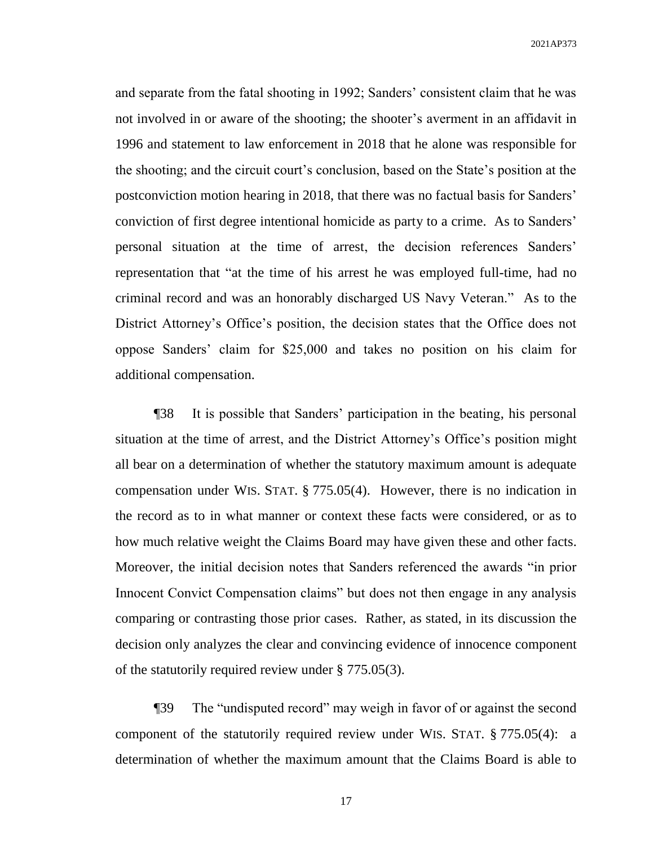and separate from the fatal shooting in 1992; Sanders' consistent claim that he was not involved in or aware of the shooting; the shooter's averment in an affidavit in 1996 and statement to law enforcement in 2018 that he alone was responsible for the shooting; and the circuit court's conclusion, based on the State's position at the postconviction motion hearing in 2018, that there was no factual basis for Sanders' conviction of first degree intentional homicide as party to a crime. As to Sanders' personal situation at the time of arrest, the decision references Sanders' representation that "at the time of his arrest he was employed full-time, had no criminal record and was an honorably discharged US Navy Veteran." As to the District Attorney's Office's position, the decision states that the Office does not oppose Sanders' claim for \$25,000 and takes no position on his claim for additional compensation.

¶38 It is possible that Sanders' participation in the beating, his personal situation at the time of arrest, and the District Attorney's Office's position might all bear on a determination of whether the statutory maximum amount is adequate compensation under WIS. STAT. § 775.05(4). However, there is no indication in the record as to in what manner or context these facts were considered, or as to how much relative weight the Claims Board may have given these and other facts. Moreover, the initial decision notes that Sanders referenced the awards "in prior Innocent Convict Compensation claims" but does not then engage in any analysis comparing or contrasting those prior cases. Rather, as stated, in its discussion the decision only analyzes the clear and convincing evidence of innocence component of the statutorily required review under § 775.05(3).

¶39 The "undisputed record" may weigh in favor of or against the second component of the statutorily required review under WIS. STAT. § 775.05(4): a determination of whether the maximum amount that the Claims Board is able to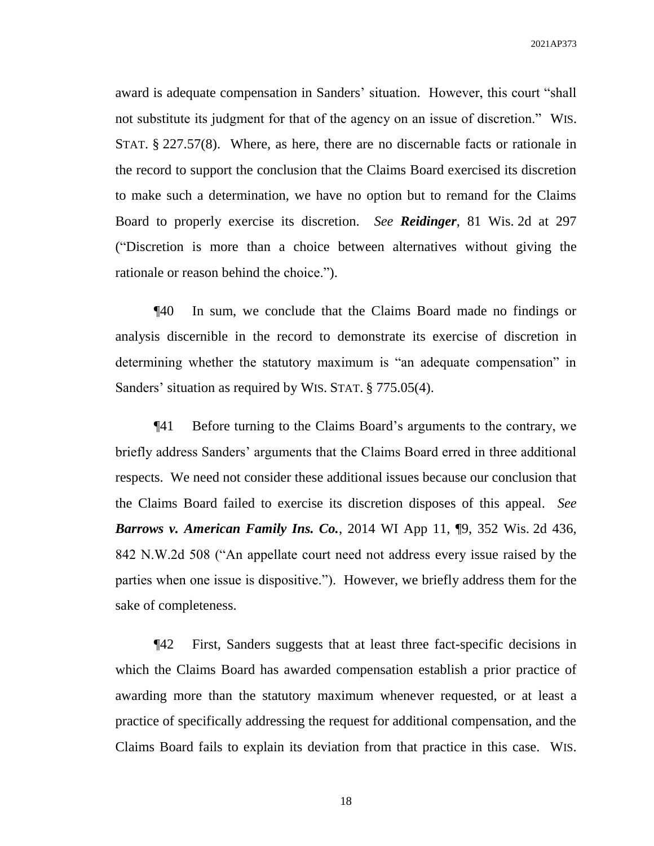award is adequate compensation in Sanders' situation. However, this court "shall not substitute its judgment for that of the agency on an issue of discretion." WIS. STAT. § 227.57(8). Where, as here, there are no discernable facts or rationale in the record to support the conclusion that the Claims Board exercised its discretion to make such a determination, we have no option but to remand for the Claims Board to properly exercise its discretion. *See Reidinger*, 81 Wis. 2d at 297 ("Discretion is more than a choice between alternatives without giving the rationale or reason behind the choice.").

¶40 In sum, we conclude that the Claims Board made no findings or analysis discernible in the record to demonstrate its exercise of discretion in determining whether the statutory maximum is "an adequate compensation" in Sanders' situation as required by WIS. STAT. § 775.05(4).

¶41 Before turning to the Claims Board's arguments to the contrary, we briefly address Sanders' arguments that the Claims Board erred in three additional respects. We need not consider these additional issues because our conclusion that the Claims Board failed to exercise its discretion disposes of this appeal. *See Barrows v. American Family Ins. Co.*, 2014 WI App 11, ¶9, 352 Wis. 2d 436, 842 N.W.2d 508 ("An appellate court need not address every issue raised by the parties when one issue is dispositive."). However, we briefly address them for the sake of completeness.

¶42 First, Sanders suggests that at least three fact-specific decisions in which the Claims Board has awarded compensation establish a prior practice of awarding more than the statutory maximum whenever requested, or at least a practice of specifically addressing the request for additional compensation, and the Claims Board fails to explain its deviation from that practice in this case. WIS.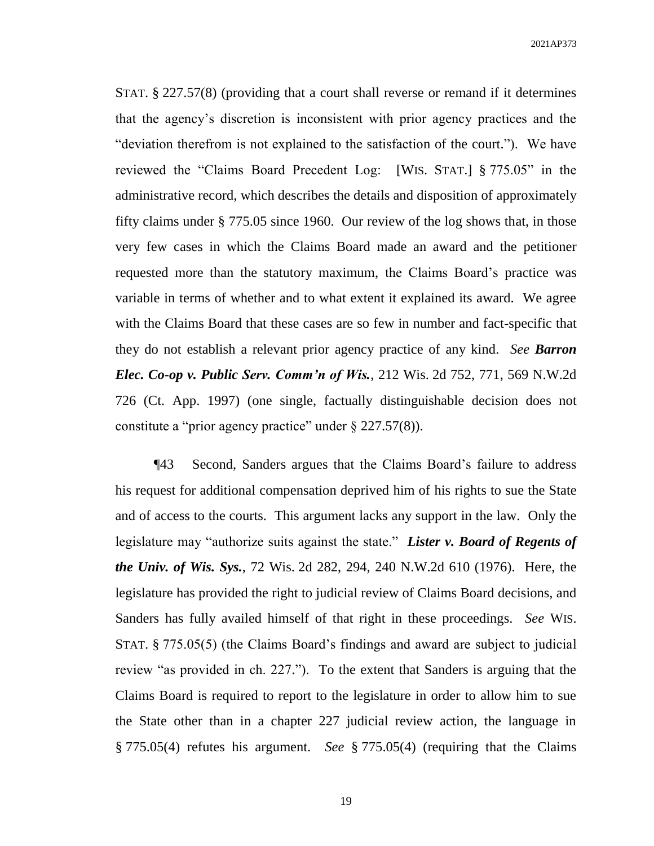STAT. § 227.57(8) (providing that a court shall reverse or remand if it determines that the agency's discretion is inconsistent with prior agency practices and the "deviation therefrom is not explained to the satisfaction of the court."). We have reviewed the "Claims Board Precedent Log: [WIS. STAT.] § 775.05" in the administrative record, which describes the details and disposition of approximately fifty claims under § 775.05 since 1960. Our review of the log shows that, in those very few cases in which the Claims Board made an award and the petitioner requested more than the statutory maximum, the Claims Board's practice was variable in terms of whether and to what extent it explained its award. We agree with the Claims Board that these cases are so few in number and fact-specific that they do not establish a relevant prior agency practice of any kind. *See Barron Elec. Co-op v. Public Serv. Comm'n of Wis.*, 212 Wis. 2d 752, 771, 569 N.W.2d 726 (Ct. App. 1997) (one single, factually distinguishable decision does not constitute a "prior agency practice" under  $\S 227.57(8)$ ).

¶43 Second, Sanders argues that the Claims Board's failure to address his request for additional compensation deprived him of his rights to sue the State and of access to the courts. This argument lacks any support in the law. Only the legislature may "authorize suits against the state." *Lister v. Board of Regents of the Univ. of Wis. Sys.*, 72 Wis. 2d 282, 294, 240 N.W.2d 610 (1976). Here, the legislature has provided the right to judicial review of Claims Board decisions, and Sanders has fully availed himself of that right in these proceedings. *See* WIS. STAT. § 775.05(5) (the Claims Board's findings and award are subject to judicial review "as provided in ch. 227."). To the extent that Sanders is arguing that the Claims Board is required to report to the legislature in order to allow him to sue the State other than in a chapter 227 judicial review action, the language in § 775.05(4) refutes his argument. *See* § 775.05(4) (requiring that the Claims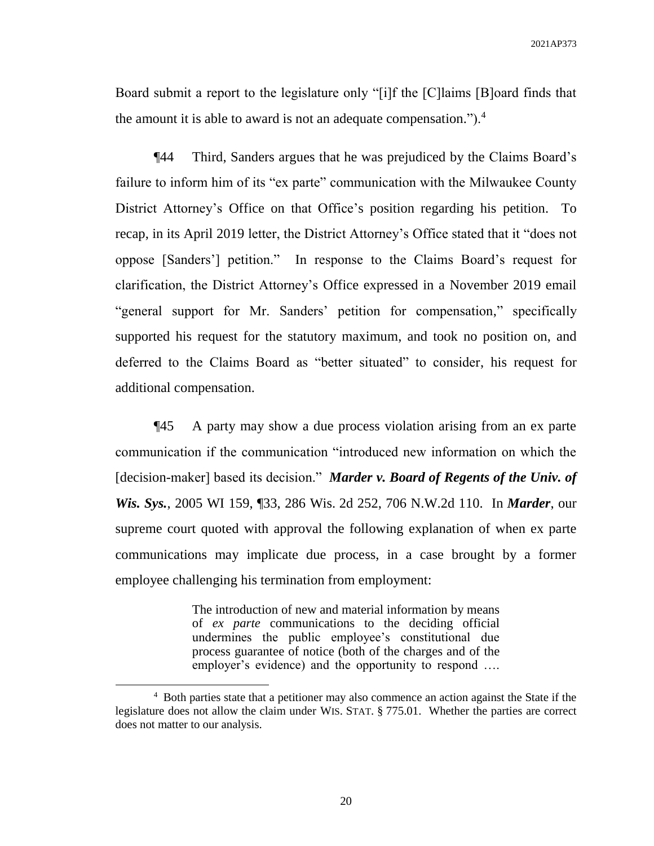Board submit a report to the legislature only "[i]f the [C]laims [B]oard finds that the amount it is able to award is not an adequate compensation.").<sup>4</sup>

¶44 Third, Sanders argues that he was prejudiced by the Claims Board's failure to inform him of its "ex parte" communication with the Milwaukee County District Attorney's Office on that Office's position regarding his petition. To recap, in its April 2019 letter, the District Attorney's Office stated that it "does not oppose [Sanders'] petition." In response to the Claims Board's request for clarification, the District Attorney's Office expressed in a November 2019 email "general support for Mr. Sanders' petition for compensation," specifically supported his request for the statutory maximum, and took no position on, and deferred to the Claims Board as "better situated" to consider, his request for additional compensation.

¶45 A party may show a due process violation arising from an ex parte communication if the communication "introduced new information on which the [decision-maker] based its decision." *Marder v. Board of Regents of the Univ. of Wis. Sys.*, 2005 WI 159, ¶33, 286 Wis. 2d 252, 706 N.W.2d 110. In *Marder*, our supreme court quoted with approval the following explanation of when ex parte communications may implicate due process, in a case brought by a former employee challenging his termination from employment:

> The introduction of new and material information by means of *ex parte* communications to the deciding official undermines the public employee's constitutional due process guarantee of notice (both of the charges and of the employer's evidence) and the opportunity to respond ….

 $\overline{\phantom{a}}$ 

<sup>&</sup>lt;sup>4</sup> Both parties state that a petitioner may also commence an action against the State if the legislature does not allow the claim under WIS. STAT. § 775.01. Whether the parties are correct does not matter to our analysis.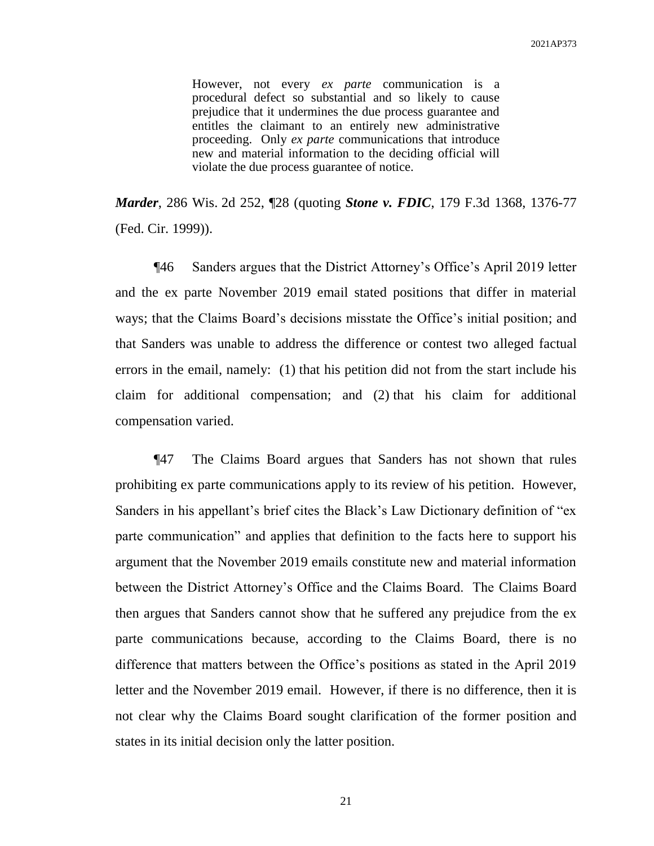However, not every *ex parte* communication is a procedural defect so substantial and so likely to cause prejudice that it undermines the due process guarantee and entitles the claimant to an entirely new administrative proceeding. Only *ex parte* communications that introduce new and material information to the deciding official will violate the due process guarantee of notice.

*Marder*, 286 Wis. 2d 252, ¶28 (quoting *Stone v. FDIC*, 179 F.3d 1368, 1376-77 (Fed. Cir. 1999)).

¶46 Sanders argues that the District Attorney's Office's April 2019 letter and the ex parte November 2019 email stated positions that differ in material ways; that the Claims Board's decisions misstate the Office's initial position; and that Sanders was unable to address the difference or contest two alleged factual errors in the email, namely: (1) that his petition did not from the start include his claim for additional compensation; and (2) that his claim for additional compensation varied.

¶47 The Claims Board argues that Sanders has not shown that rules prohibiting ex parte communications apply to its review of his petition. However, Sanders in his appellant's brief cites the Black's Law Dictionary definition of "ex parte communication" and applies that definition to the facts here to support his argument that the November 2019 emails constitute new and material information between the District Attorney's Office and the Claims Board. The Claims Board then argues that Sanders cannot show that he suffered any prejudice from the ex parte communications because, according to the Claims Board, there is no difference that matters between the Office's positions as stated in the April 2019 letter and the November 2019 email. However, if there is no difference, then it is not clear why the Claims Board sought clarification of the former position and states in its initial decision only the latter position.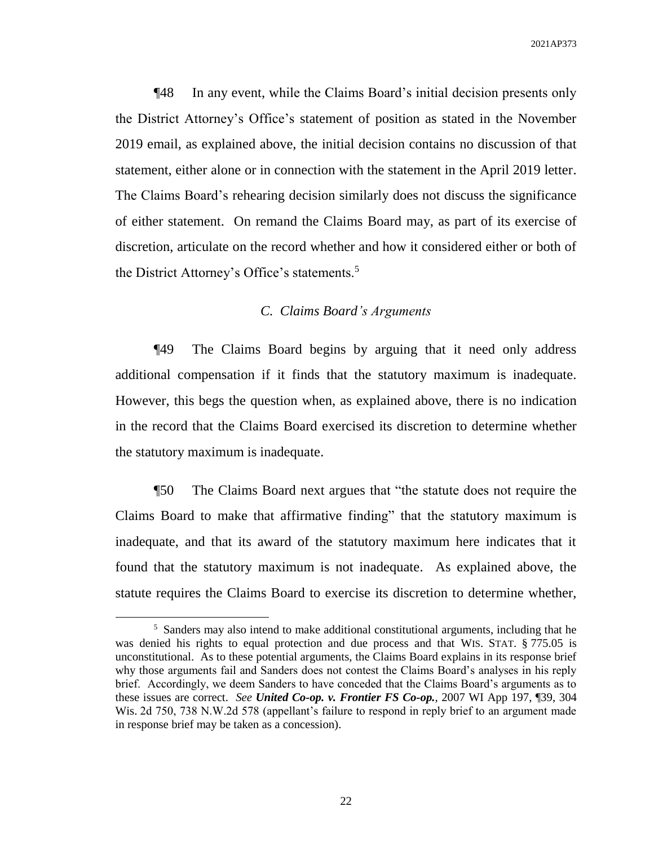¶48 In any event, while the Claims Board's initial decision presents only the District Attorney's Office's statement of position as stated in the November 2019 email, as explained above, the initial decision contains no discussion of that statement, either alone or in connection with the statement in the April 2019 letter. The Claims Board's rehearing decision similarly does not discuss the significance of either statement. On remand the Claims Board may, as part of its exercise of discretion, articulate on the record whether and how it considered either or both of the District Attorney's Office's statements.<sup>5</sup>

### *C. Claims Board's Arguments*

¶49 The Claims Board begins by arguing that it need only address additional compensation if it finds that the statutory maximum is inadequate. However, this begs the question when, as explained above, there is no indication in the record that the Claims Board exercised its discretion to determine whether the statutory maximum is inadequate.

¶50 The Claims Board next argues that "the statute does not require the Claims Board to make that affirmative finding" that the statutory maximum is inadequate, and that its award of the statutory maximum here indicates that it found that the statutory maximum is not inadequate. As explained above, the statute requires the Claims Board to exercise its discretion to determine whether,

 $\overline{a}$ 

<sup>&</sup>lt;sup>5</sup> Sanders may also intend to make additional constitutional arguments, including that he was denied his rights to equal protection and due process and that WIS. STAT. § 775.05 is unconstitutional. As to these potential arguments, the Claims Board explains in its response brief why those arguments fail and Sanders does not contest the Claims Board's analyses in his reply brief. Accordingly, we deem Sanders to have conceded that the Claims Board's arguments as to these issues are correct. *See United Co-op. v. Frontier FS Co-op.*, 2007 WI App 197, ¶39, 304 Wis. 2d 750, 738 N.W.2d 578 (appellant's failure to respond in reply brief to an argument made in response brief may be taken as a concession).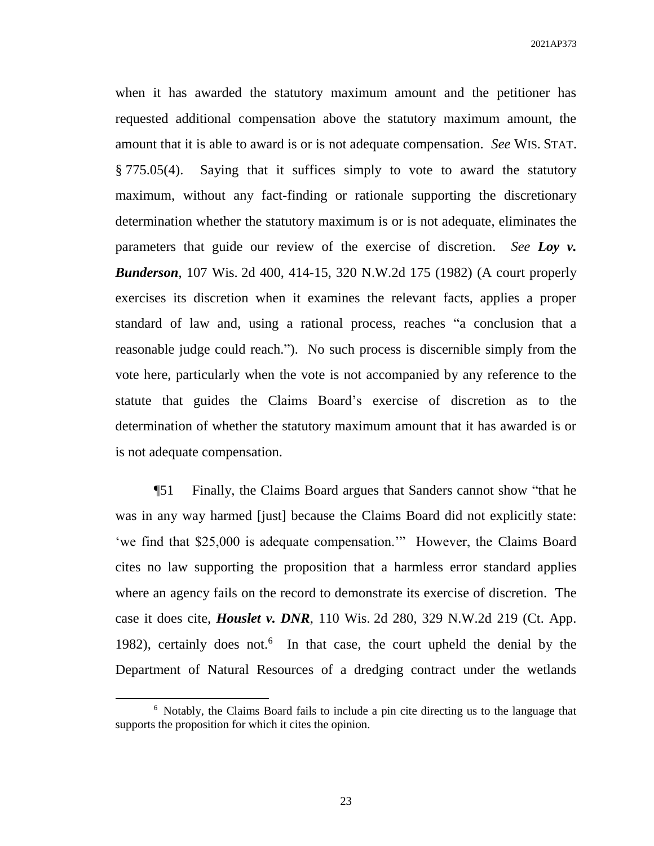when it has awarded the statutory maximum amount and the petitioner has requested additional compensation above the statutory maximum amount, the amount that it is able to award is or is not adequate compensation. *See* WIS. STAT. § 775.05(4). Saying that it suffices simply to vote to award the statutory maximum, without any fact-finding or rationale supporting the discretionary determination whether the statutory maximum is or is not adequate, eliminates the parameters that guide our review of the exercise of discretion. *See Loy v. Bunderson*, 107 Wis. 2d 400, 414-15, 320 N.W.2d 175 (1982) (A court properly exercises its discretion when it examines the relevant facts, applies a proper standard of law and, using a rational process, reaches "a conclusion that a reasonable judge could reach."). No such process is discernible simply from the vote here, particularly when the vote is not accompanied by any reference to the statute that guides the Claims Board's exercise of discretion as to the determination of whether the statutory maximum amount that it has awarded is or is not adequate compensation.

¶51 Finally, the Claims Board argues that Sanders cannot show "that he was in any way harmed [just] because the Claims Board did not explicitly state: 'we find that \$25,000 is adequate compensation.'" However, the Claims Board cites no law supporting the proposition that a harmless error standard applies where an agency fails on the record to demonstrate its exercise of discretion. The case it does cite, *Houslet v. DNR*, 110 Wis. 2d 280, 329 N.W.2d 219 (Ct. App. 1982), certainly does not.<sup>6</sup> In that case, the court upheld the denial by the Department of Natural Resources of a dredging contract under the wetlands

l

<sup>&</sup>lt;sup>6</sup> Notably, the Claims Board fails to include a pin cite directing us to the language that supports the proposition for which it cites the opinion.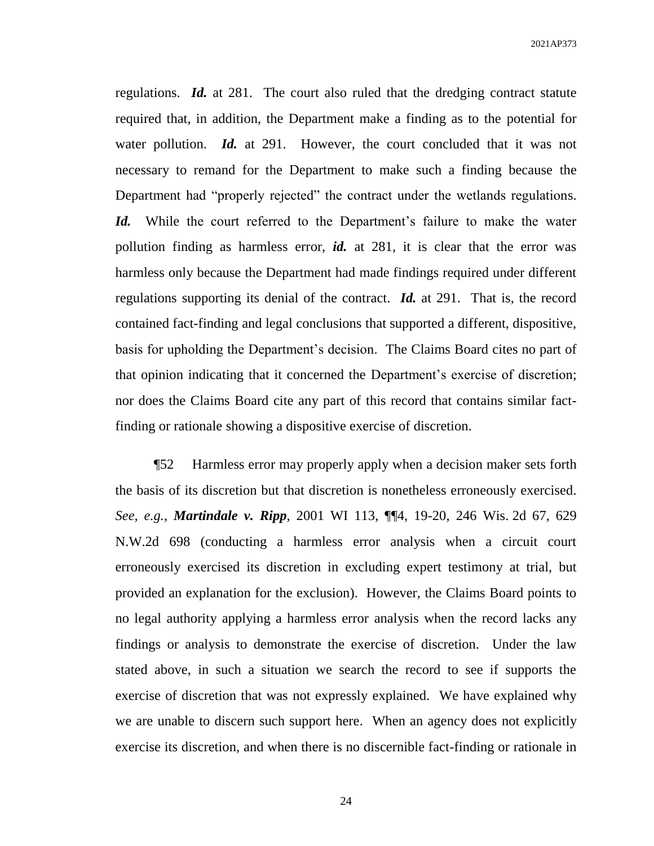regulations. *Id.* at 281. The court also ruled that the dredging contract statute required that, in addition, the Department make a finding as to the potential for water pollution. *Id.* at 291. However, the court concluded that it was not necessary to remand for the Department to make such a finding because the Department had "properly rejected" the contract under the wetlands regulations. *Id.* While the court referred to the Department's failure to make the water pollution finding as harmless error, *id.* at 281, it is clear that the error was harmless only because the Department had made findings required under different regulations supporting its denial of the contract. *Id.* at 291. That is, the record contained fact-finding and legal conclusions that supported a different, dispositive, basis for upholding the Department's decision. The Claims Board cites no part of that opinion indicating that it concerned the Department's exercise of discretion; nor does the Claims Board cite any part of this record that contains similar factfinding or rationale showing a dispositive exercise of discretion.

¶52 Harmless error may properly apply when a decision maker sets forth the basis of its discretion but that discretion is nonetheless erroneously exercised. *See, e.g.*, *Martindale v. Ripp*, 2001 WI 113, ¶¶4, 19-20, 246 Wis. 2d 67, 629 N.W.2d 698 (conducting a harmless error analysis when a circuit court erroneously exercised its discretion in excluding expert testimony at trial, but provided an explanation for the exclusion). However, the Claims Board points to no legal authority applying a harmless error analysis when the record lacks any findings or analysis to demonstrate the exercise of discretion. Under the law stated above, in such a situation we search the record to see if supports the exercise of discretion that was not expressly explained. We have explained why we are unable to discern such support here. When an agency does not explicitly exercise its discretion, and when there is no discernible fact-finding or rationale in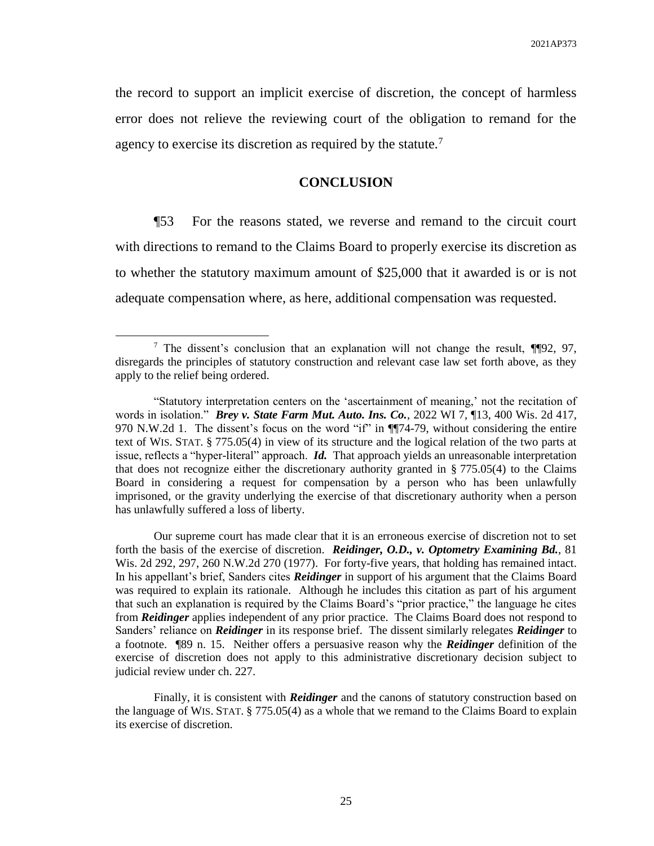the record to support an implicit exercise of discretion, the concept of harmless error does not relieve the reviewing court of the obligation to remand for the agency to exercise its discretion as required by the statute.<sup>7</sup>

#### **CONCLUSION**

¶53 For the reasons stated, we reverse and remand to the circuit court with directions to remand to the Claims Board to properly exercise its discretion as to whether the statutory maximum amount of \$25,000 that it awarded is or is not adequate compensation where, as here, additional compensation was requested.

 $\overline{\phantom{a}}$ 

<sup>&</sup>lt;sup>7</sup> The dissent's conclusion that an explanation will not change the result, ¶[92, 97, disregards the principles of statutory construction and relevant case law set forth above, as they apply to the relief being ordered.

<sup>&</sup>quot;Statutory interpretation centers on the 'ascertainment of meaning,' not the recitation of words in isolation." *Brey v. State Farm Mut. Auto. Ins. Co.*, 2022 WI 7, ¶13, 400 Wis. 2d 417, 970 N.W.2d 1. The dissent's focus on the word "if" in ¶[74-79, without considering the entire text of WIS. STAT. § 775.05(4) in view of its structure and the logical relation of the two parts at issue, reflects a "hyper-literal" approach. *Id.* That approach yields an unreasonable interpretation that does not recognize either the discretionary authority granted in  $\S 775.05(4)$  to the Claims Board in considering a request for compensation by a person who has been unlawfully imprisoned, or the gravity underlying the exercise of that discretionary authority when a person has unlawfully suffered a loss of liberty.

Our supreme court has made clear that it is an erroneous exercise of discretion not to set forth the basis of the exercise of discretion. *Reidinger, O.D., v. Optometry Examining Bd.*, 81 Wis. 2d 292, 297, 260 N.W.2d 270 (1977). For forty-five years, that holding has remained intact. In his appellant's brief, Sanders cites *Reidinger* in support of his argument that the Claims Board was required to explain its rationale. Although he includes this citation as part of his argument that such an explanation is required by the Claims Board's "prior practice," the language he cites from *Reidinger* applies independent of any prior practice. The Claims Board does not respond to Sanders' reliance on *Reidinger* in its response brief. The dissent similarly relegates *Reidinger* to a footnote. ¶89 n. 15. Neither offers a persuasive reason why the *Reidinger* definition of the exercise of discretion does not apply to this administrative discretionary decision subject to judicial review under ch. 227.

Finally, it is consistent with *Reidinger* and the canons of statutory construction based on the language of WIS. STAT. § 775.05(4) as a whole that we remand to the Claims Board to explain its exercise of discretion.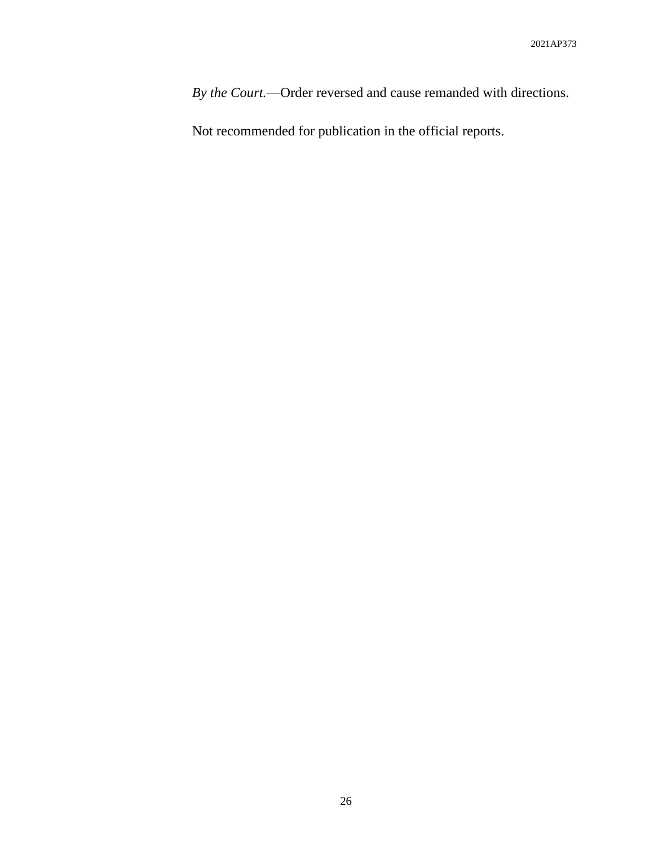*By the Court.*—Order reversed and cause remanded with directions.

Not recommended for publication in the official reports.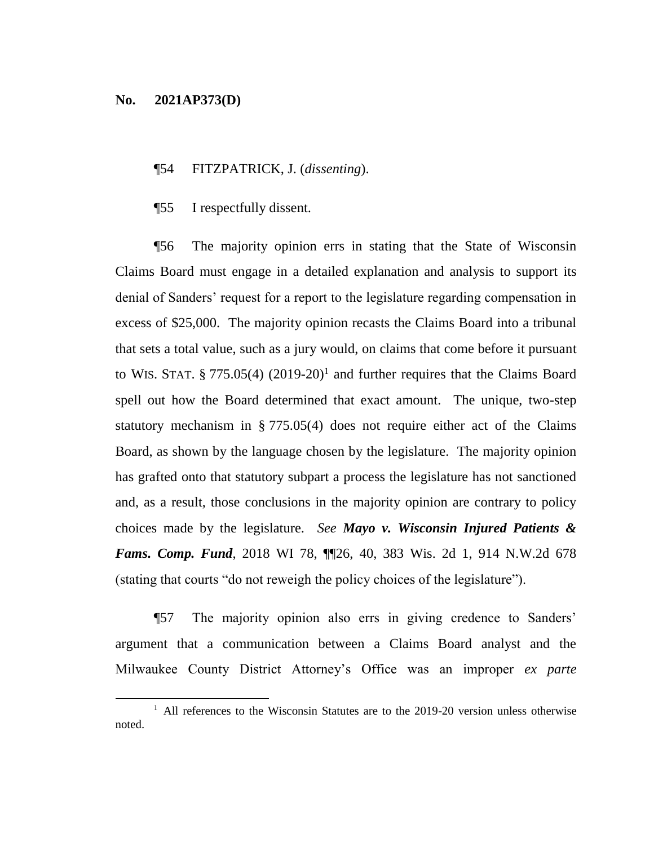#### **No. 2021AP373(D)**

l

#### ¶54 FITZPATRICK, J. (*dissenting*).

¶55 I respectfully dissent.

¶56 The majority opinion errs in stating that the State of Wisconsin Claims Board must engage in a detailed explanation and analysis to support its denial of Sanders' request for a report to the legislature regarding compensation in excess of \$25,000. The majority opinion recasts the Claims Board into a tribunal that sets a total value, such as a jury would, on claims that come before it pursuant to WIS. STAT.  $\S 775.05(4)$  (2019-20)<sup>1</sup> and further requires that the Claims Board spell out how the Board determined that exact amount. The unique, two-step statutory mechanism in § 775.05(4) does not require either act of the Claims Board, as shown by the language chosen by the legislature. The majority opinion has grafted onto that statutory subpart a process the legislature has not sanctioned and, as a result, those conclusions in the majority opinion are contrary to policy choices made by the legislature. *See Mayo v. Wisconsin Injured Patients & Fams. Comp. Fund*, 2018 WI 78, ¶¶26, 40, 383 Wis. 2d 1, 914 N.W.2d 678 (stating that courts "do not reweigh the policy choices of the legislature").

¶57 The majority opinion also errs in giving credence to Sanders' argument that a communication between a Claims Board analyst and the Milwaukee County District Attorney's Office was an improper *ex parte*

<sup>&</sup>lt;sup>1</sup> All references to the Wisconsin Statutes are to the 2019-20 version unless otherwise noted.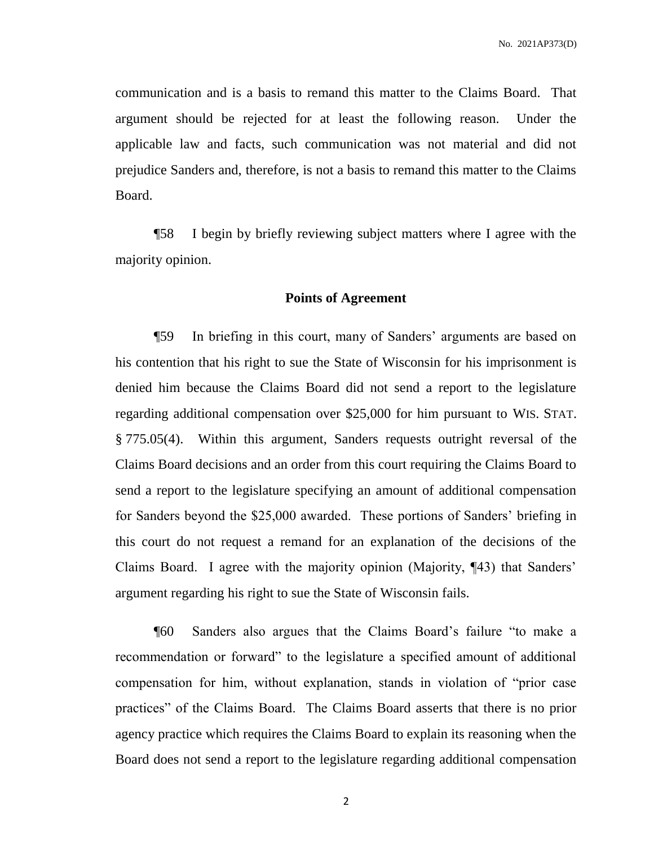communication and is a basis to remand this matter to the Claims Board. That argument should be rejected for at least the following reason. Under the applicable law and facts, such communication was not material and did not prejudice Sanders and, therefore, is not a basis to remand this matter to the Claims Board.

¶58 I begin by briefly reviewing subject matters where I agree with the majority opinion.

#### **Points of Agreement**

¶59 In briefing in this court, many of Sanders' arguments are based on his contention that his right to sue the State of Wisconsin for his imprisonment is denied him because the Claims Board did not send a report to the legislature regarding additional compensation over \$25,000 for him pursuant to WIS. STAT. § 775.05(4). Within this argument, Sanders requests outright reversal of the Claims Board decisions and an order from this court requiring the Claims Board to send a report to the legislature specifying an amount of additional compensation for Sanders beyond the \$25,000 awarded. These portions of Sanders' briefing in this court do not request a remand for an explanation of the decisions of the Claims Board. I agree with the majority opinion (Majority, ¶43) that Sanders' argument regarding his right to sue the State of Wisconsin fails.

¶60 Sanders also argues that the Claims Board's failure "to make a recommendation or forward" to the legislature a specified amount of additional compensation for him, without explanation, stands in violation of "prior case practices" of the Claims Board. The Claims Board asserts that there is no prior agency practice which requires the Claims Board to explain its reasoning when the Board does not send a report to the legislature regarding additional compensation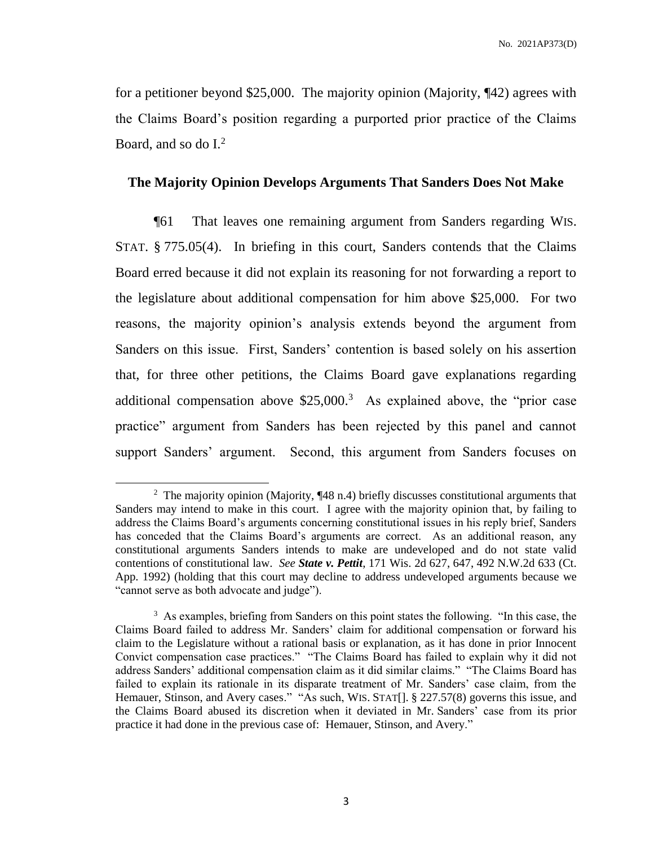No. 2021AP373(D)

for a petitioner beyond \$25,000. The majority opinion (Majority, ¶42) agrees with the Claims Board's position regarding a purported prior practice of the Claims Board, and so do I.<sup>2</sup>

#### **The Majority Opinion Develops Arguments That Sanders Does Not Make**

¶61 That leaves one remaining argument from Sanders regarding WIS. STAT. § 775.05(4). In briefing in this court, Sanders contends that the Claims Board erred because it did not explain its reasoning for not forwarding a report to the legislature about additional compensation for him above \$25,000. For two reasons, the majority opinion's analysis extends beyond the argument from Sanders on this issue. First, Sanders' contention is based solely on his assertion that, for three other petitions, the Claims Board gave explanations regarding additional compensation above  $$25,000.<sup>3</sup>$  As explained above, the "prior case practice" argument from Sanders has been rejected by this panel and cannot support Sanders' argument. Second, this argument from Sanders focuses on

l

<sup>&</sup>lt;sup>2</sup> The majority opinion (Majority, ¶48 n.4) briefly discusses constitutional arguments that Sanders may intend to make in this court. I agree with the majority opinion that, by failing to address the Claims Board's arguments concerning constitutional issues in his reply brief, Sanders has conceded that the Claims Board's arguments are correct. As an additional reason, any constitutional arguments Sanders intends to make are undeveloped and do not state valid contentions of constitutional law. *See State v. Pettit*, 171 Wis. 2d 627, 647, 492 N.W.2d 633 (Ct. App. 1992) (holding that this court may decline to address undeveloped arguments because we "cannot serve as both advocate and judge").

<sup>&</sup>lt;sup>3</sup> As examples, briefing from Sanders on this point states the following. "In this case, the Claims Board failed to address Mr. Sanders' claim for additional compensation or forward his claim to the Legislature without a rational basis or explanation, as it has done in prior Innocent Convict compensation case practices." "The Claims Board has failed to explain why it did not address Sanders' additional compensation claim as it did similar claims." "The Claims Board has failed to explain its rationale in its disparate treatment of Mr. Sanders' case claim, from the Hemauer, Stinson, and Avery cases." "As such, WIS. STAT[]. § 227.57(8) governs this issue, and the Claims Board abused its discretion when it deviated in Mr. Sanders' case from its prior practice it had done in the previous case of: Hemauer, Stinson, and Avery."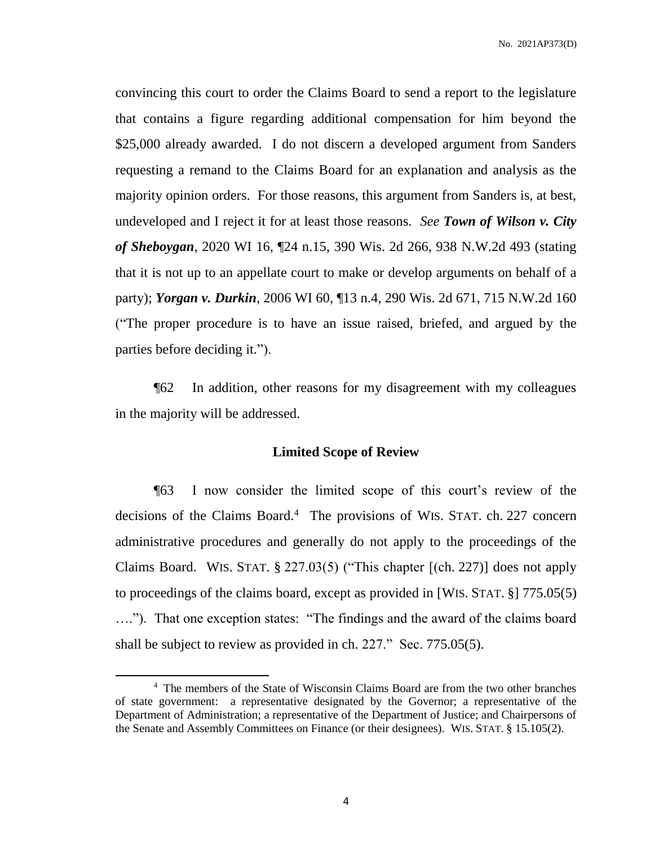convincing this court to order the Claims Board to send a report to the legislature that contains a figure regarding additional compensation for him beyond the \$25,000 already awarded. I do not discern a developed argument from Sanders requesting a remand to the Claims Board for an explanation and analysis as the majority opinion orders. For those reasons, this argument from Sanders is, at best, undeveloped and I reject it for at least those reasons. *See Town of Wilson v. City of Sheboygan*, 2020 WI 16, ¶24 n.15, 390 Wis. 2d 266, 938 N.W.2d 493 (stating that it is not up to an appellate court to make or develop arguments on behalf of a party); *Yorgan v. Durkin*, 2006 WI 60, ¶13 n.4, 290 Wis. 2d 671, 715 N.W.2d 160 ("The proper procedure is to have an issue raised, briefed, and argued by the parties before deciding it.").

¶62 In addition, other reasons for my disagreement with my colleagues in the majority will be addressed.

#### **Limited Scope of Review**

¶63 I now consider the limited scope of this court's review of the decisions of the Claims Board.<sup>4</sup> The provisions of WIS. STAT. ch. 227 concern administrative procedures and generally do not apply to the proceedings of the Claims Board. WIS. STAT. § 227.03(5) ("This chapter [(ch. 227)] does not apply to proceedings of the claims board, except as provided in [WIS. STAT. §] 775.05(5) …."). That one exception states: "The findings and the award of the claims board shall be subject to review as provided in ch. 227." Sec. 775.05(5).

l

<sup>4</sup> The members of the State of Wisconsin Claims Board are from the two other branches of state government: a representative designated by the Governor; a representative of the Department of Administration; a representative of the Department of Justice; and Chairpersons of the Senate and Assembly Committees on Finance (or their designees). WIS. STAT. § 15.105(2).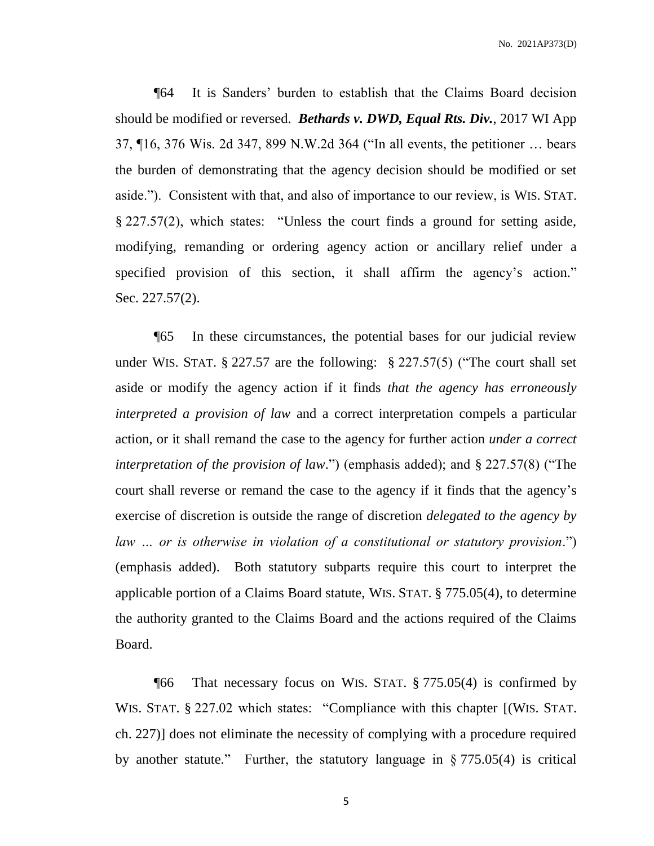¶64 It is Sanders' burden to establish that the Claims Board decision should be modified or reversed. *Bethards v. DWD, Equal Rts. Div.*, 2017 WI App 37, ¶16, 376 Wis. 2d 347, 899 N.W.2d 364 ("In all events, the petitioner … bears the burden of demonstrating that the agency decision should be modified or set aside."). Consistent with that, and also of importance to our review, is WIS. STAT. § 227.57(2), which states: "Unless the court finds a ground for setting aside, modifying, remanding or ordering agency action or ancillary relief under a specified provision of this section, it shall affirm the agency's action." Sec. 227.57(2).

¶65 In these circumstances, the potential bases for our judicial review under WIS. STAT. § 227.57 are the following: § 227.57(5) ("The court shall set aside or modify the agency action if it finds *that the agency has erroneously interpreted a provision of law* and a correct interpretation compels a particular action, or it shall remand the case to the agency for further action *under a correct interpretation of the provision of law*.") (emphasis added); and § 227.57(8) ("The court shall reverse or remand the case to the agency if it finds that the agency's exercise of discretion is outside the range of discretion *delegated to the agency by law … or is otherwise in violation of a constitutional or statutory provision*.") (emphasis added). Both statutory subparts require this court to interpret the applicable portion of a Claims Board statute, WIS. STAT. § 775.05(4), to determine the authority granted to the Claims Board and the actions required of the Claims Board.

¶66 That necessary focus on WIS. STAT. § 775.05(4) is confirmed by WIS. STAT. § 227.02 which states: "Compliance with this chapter [(WIS. STAT. ch. 227)] does not eliminate the necessity of complying with a procedure required by another statute." Further, the statutory language in § 775.05(4) is critical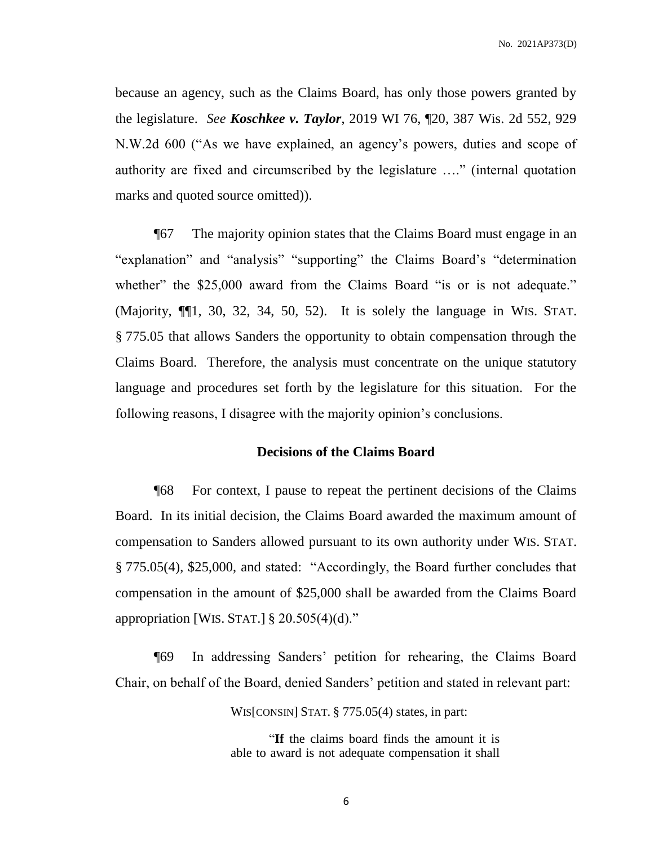because an agency, such as the Claims Board, has only those powers granted by the legislature. *See Koschkee v. Taylor*, 2019 WI 76, ¶20, 387 Wis. 2d 552, 929 N.W.2d 600 ("As we have explained, an agency's powers, duties and scope of authority are fixed and circumscribed by the legislature …." (internal quotation marks and quoted source omitted)).

¶67 The majority opinion states that the Claims Board must engage in an "explanation" and "analysis" "supporting" the Claims Board's "determination whether" the \$25,000 award from the Claims Board "is or is not adequate." (Majority, ¶¶1, 30, 32, 34, 50, 52). It is solely the language in WIS. STAT. § 775.05 that allows Sanders the opportunity to obtain compensation through the Claims Board. Therefore, the analysis must concentrate on the unique statutory language and procedures set forth by the legislature for this situation. For the following reasons, I disagree with the majority opinion's conclusions.

#### **Decisions of the Claims Board**

¶68 For context, I pause to repeat the pertinent decisions of the Claims Board. In its initial decision, the Claims Board awarded the maximum amount of compensation to Sanders allowed pursuant to its own authority under WIS. STAT. § 775.05(4), \$25,000, and stated: "Accordingly, the Board further concludes that compensation in the amount of \$25,000 shall be awarded from the Claims Board appropriation [WIS. STAT.]  $\S 20.505(4)(d)$ ."

¶69 In addressing Sanders' petition for rehearing, the Claims Board Chair, on behalf of the Board, denied Sanders' petition and stated in relevant part:

WIS[CONSIN] STAT. § 775.05(4) states, in part:

"**If** the claims board finds the amount it is able to award is not adequate compensation it shall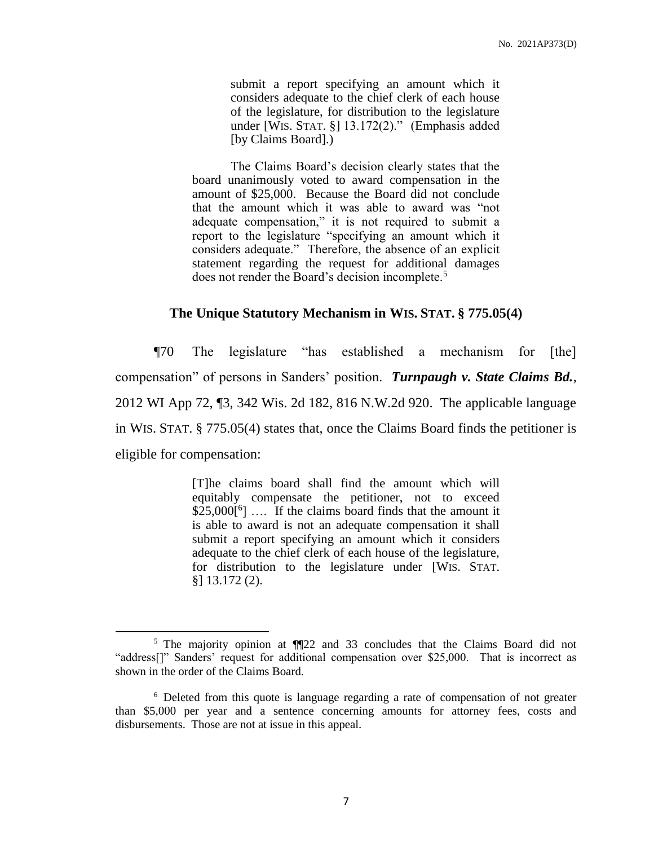submit a report specifying an amount which it considers adequate to the chief clerk of each house of the legislature, for distribution to the legislature under [WIS. STAT. §] 13.172(2)." (Emphasis added [by Claims Board].)

The Claims Board's decision clearly states that the board unanimously voted to award compensation in the amount of \$25,000. Because the Board did not conclude that the amount which it was able to award was "not adequate compensation," it is not required to submit a report to the legislature "specifying an amount which it considers adequate." Therefore, the absence of an explicit statement regarding the request for additional damages does not render the Board's decision incomplete.<sup>5</sup>

#### **The Unique Statutory Mechanism in WIS. STAT. § 775.05(4)**

¶70 The legislature "has established a mechanism for [the] compensation" of persons in Sanders' position. *Turnpaugh v. State Claims Bd.*, 2012 WI App 72, ¶3, 342 Wis. 2d 182, 816 N.W.2d 920. The applicable language in WIS. STAT. § 775.05(4) states that, once the Claims Board finds the petitioner is eligible for compensation:

> [T]he claims board shall find the amount which will equitably compensate the petitioner, not to exceed  $$25,000[^6] \dots$  If the claims board finds that the amount it is able to award is not an adequate compensation it shall submit a report specifying an amount which it considers adequate to the chief clerk of each house of the legislature, for distribution to the legislature under [WIS. STAT. §] 13.172 (2).

 $\overline{\phantom{a}}$ 

<sup>&</sup>lt;sup>5</sup> The majority opinion at ¶[22 and 33 concludes that the Claims Board did not "address[]" Sanders' request for additional compensation over \$25,000. That is incorrect as shown in the order of the Claims Board.

<sup>&</sup>lt;sup>6</sup> Deleted from this quote is language regarding a rate of compensation of not greater than \$5,000 per year and a sentence concerning amounts for attorney fees, costs and disbursements. Those are not at issue in this appeal.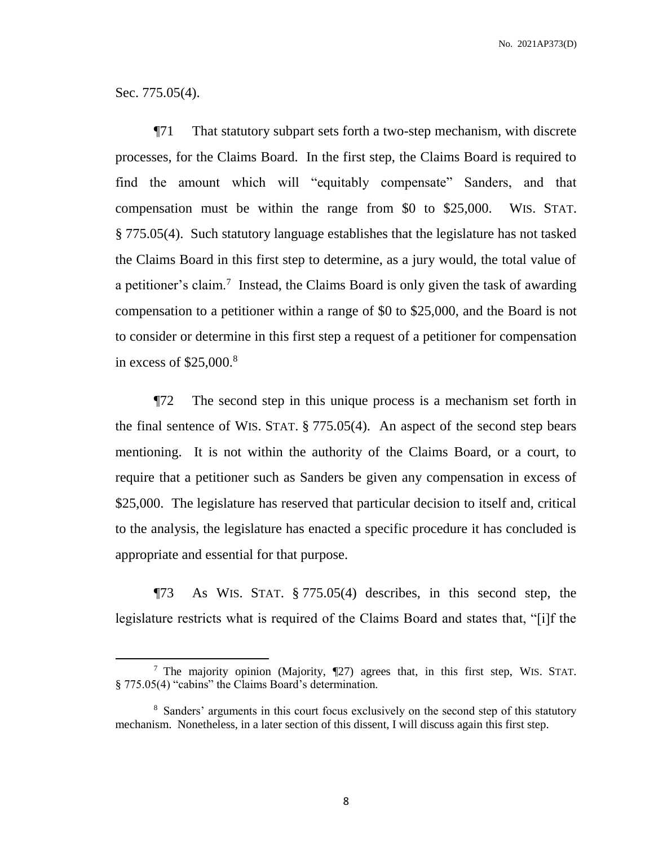No. 2021AP373(D)

Sec. 775.05(4).

 $\overline{a}$ 

¶71 That statutory subpart sets forth a two-step mechanism, with discrete processes, for the Claims Board. In the first step, the Claims Board is required to find the amount which will "equitably compensate" Sanders, and that compensation must be within the range from \$0 to \$25,000. WIS. STAT. § 775.05(4). Such statutory language establishes that the legislature has not tasked the Claims Board in this first step to determine, as a jury would, the total value of a petitioner's claim.<sup>7</sup> Instead, the Claims Board is only given the task of awarding compensation to a petitioner within a range of \$0 to \$25,000, and the Board is not to consider or determine in this first step a request of a petitioner for compensation in excess of  $$25,000$ .<sup>8</sup>

¶72 The second step in this unique process is a mechanism set forth in the final sentence of WIS. STAT. § 775.05(4). An aspect of the second step bears mentioning. It is not within the authority of the Claims Board, or a court, to require that a petitioner such as Sanders be given any compensation in excess of \$25,000. The legislature has reserved that particular decision to itself and, critical to the analysis, the legislature has enacted a specific procedure it has concluded is appropriate and essential for that purpose.

¶73 As WIS. STAT. § 775.05(4) describes, in this second step, the legislature restricts what is required of the Claims Board and states that, "[i]f the

<sup>&</sup>lt;sup>7</sup> The majority opinion (Majority, 127) agrees that, in this first step, WIS. STAT. § 775.05(4) "cabins" the Claims Board's determination.

<sup>&</sup>lt;sup>8</sup> Sanders' arguments in this court focus exclusively on the second step of this statutory mechanism. Nonetheless, in a later section of this dissent, I will discuss again this first step.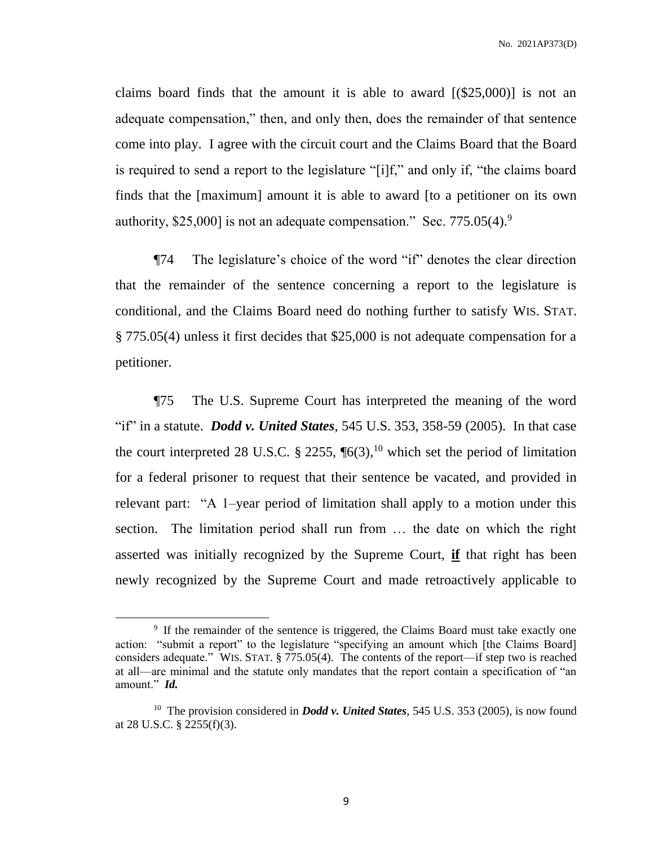claims board finds that the amount it is able to award  $($ \$25,000 $)$ ] is not an adequate compensation," then, and only then, does the remainder of that sentence come into play. I agree with the circuit court and the Claims Board that the Board is required to send a report to the legislature "[i]f," and only if, "the claims board finds that the [maximum] amount it is able to award [to a petitioner on its own authority, \$25,000] is not an adequate compensation." Sec.  $775.05(4)$ .

¶74 The legislature's choice of the word "if" denotes the clear direction that the remainder of the sentence concerning a report to the legislature is conditional, and the Claims Board need do nothing further to satisfy WIS. STAT. § 775.05(4) unless it first decides that \$25,000 is not adequate compensation for a petitioner.

¶75 The U.S. Supreme Court has interpreted the meaning of the word "if" in a statute. *Dodd v. United States*, 545 U.S. 353, 358-59 (2005). In that case the court interpreted 28 U.S.C. § 2255,  $\sqrt{16(3)}$ ,<sup>10</sup> which set the period of limitation for a federal prisoner to request that their sentence be vacated, and provided in relevant part: "A 1–year period of limitation shall apply to a motion under this section. The limitation period shall run from … the date on which the right asserted was initially recognized by the Supreme Court, **if** that right has been newly recognized by the Supreme Court and made retroactively applicable to

 $\overline{\phantom{a}}$ 

<sup>&</sup>lt;sup>9</sup> If the remainder of the sentence is triggered, the Claims Board must take exactly one action: "submit a report" to the legislature "specifying an amount which [the Claims Board] considers adequate." WIS. STAT. § 775.05(4). The contents of the report—if step two is reached at all—are minimal and the statute only mandates that the report contain a specification of "an amount." *Id.*

<sup>&</sup>lt;sup>10</sup> The provision considered in *Dodd v. United States*, 545 U.S. 353 (2005), is now found at 28 U.S.C. § 2255(f)(3).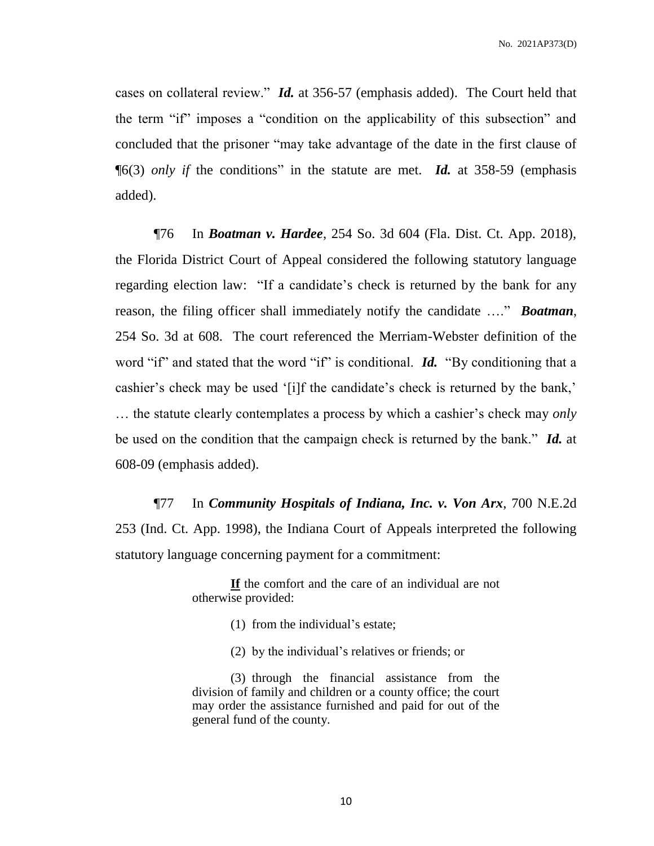No. 2021AP373(D)

cases on collateral review." *Id.* at 356-57 (emphasis added). The Court held that the term "if" imposes a "condition on the applicability of this subsection" and concluded that the prisoner "may take advantage of the date in the first clause of ¶6(3) *only if* the conditions" in the statute are met. *Id.* at 358-59 (emphasis added).

¶76 In *Boatman v. Hardee*, 254 So. 3d 604 (Fla. Dist. Ct. App. 2018), the Florida District Court of Appeal considered the following statutory language regarding election law: "If a candidate's check is returned by the bank for any reason, the filing officer shall immediately notify the candidate …." *Boatman*, 254 So. 3d at 608. The court referenced the Merriam-Webster definition of the word "if" and stated that the word "if" is conditional. *Id.* "By conditioning that a cashier's check may be used '[i]f the candidate's check is returned by the bank,' … the statute clearly contemplates a process by which a cashier's check may *only* be used on the condition that the campaign check is returned by the bank." *Id.* at 608-09 (emphasis added).

¶77 In *Community Hospitals of Indiana, Inc. v. Von Arx*, 700 N.E.2d 253 (Ind. Ct. App. 1998), the Indiana Court of Appeals interpreted the following statutory language concerning payment for a commitment:

> **If** the comfort and the care of an individual are not otherwise provided:

- (1) from the individual's estate;
- (2) by the individual's relatives or friends; or

(3) through the financial assistance from the division of family and children or a county office; the court may order the assistance furnished and paid for out of the general fund of the county.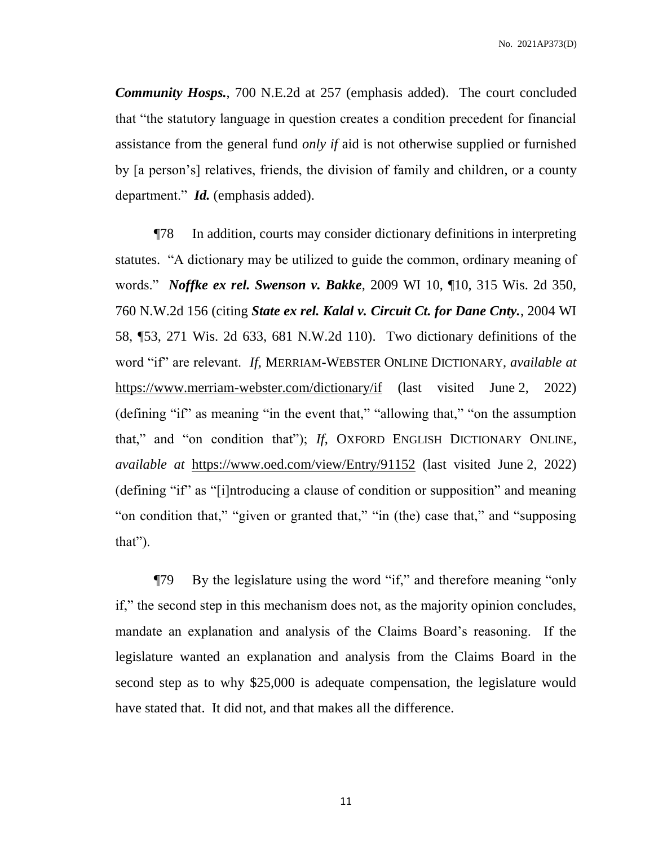*Community Hosps.*, 700 N.E.2d at 257 (emphasis added). The court concluded that "the statutory language in question creates a condition precedent for financial assistance from the general fund *only if* aid is not otherwise supplied or furnished by [a person's] relatives, friends, the division of family and children, or a county department." *Id.* (emphasis added).

¶78 In addition, courts may consider dictionary definitions in interpreting statutes. "A dictionary may be utilized to guide the common, ordinary meaning of words." *Noffke ex rel. Swenson v. Bakke*, 2009 WI 10, ¶10, 315 Wis. 2d 350, 760 N.W.2d 156 (citing *State ex rel. Kalal v. Circuit Ct. for Dane Cnty.*, 2004 WI 58, ¶53, 271 Wis. 2d 633, 681 N.W.2d 110). Two dictionary definitions of the word "if" are relevant. *If*, MERRIAM-WEBSTER ONLINE DICTIONARY, *available at* https://www.merriam-webster.com/dictionary/if (last visited June 2, 2022) (defining "if" as meaning "in the event that," "allowing that," "on the assumption that," and "on condition that"); *If*, OXFORD ENGLISH DICTIONARY ONLINE, *available at* https://www.oed.com/view/Entry/91152 (last visited June 2, 2022) (defining "if" as "[i]ntroducing a clause of condition or supposition" and meaning "on condition that," "given or granted that," "in (the) case that," and "supposing that").

¶79 By the legislature using the word "if," and therefore meaning "only if," the second step in this mechanism does not, as the majority opinion concludes, mandate an explanation and analysis of the Claims Board's reasoning. If the legislature wanted an explanation and analysis from the Claims Board in the second step as to why \$25,000 is adequate compensation, the legislature would have stated that. It did not, and that makes all the difference.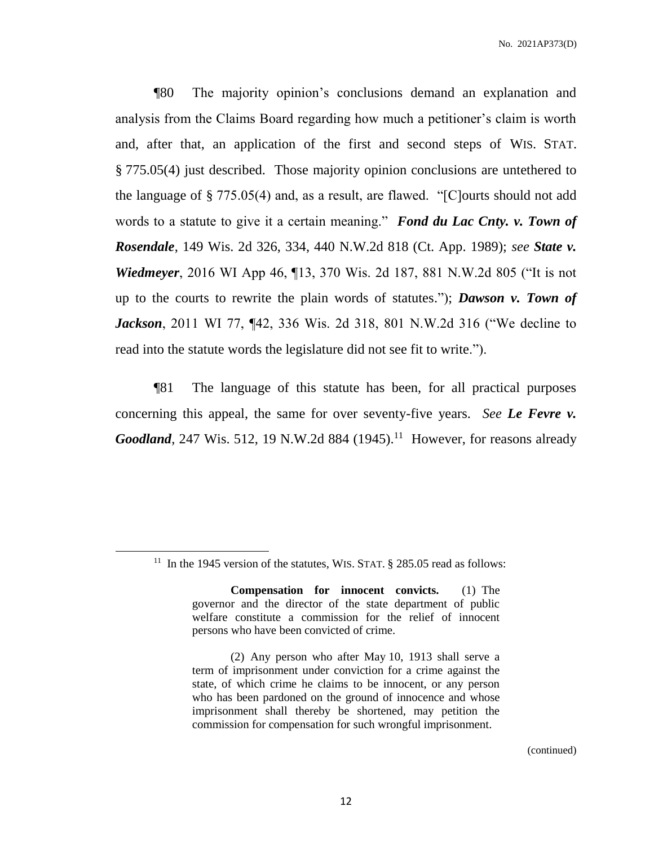¶80 The majority opinion's conclusions demand an explanation and analysis from the Claims Board regarding how much a petitioner's claim is worth and, after that, an application of the first and second steps of WIS. STAT. § 775.05(4) just described. Those majority opinion conclusions are untethered to the language of § 775.05(4) and, as a result, are flawed. "[C]ourts should not add words to a statute to give it a certain meaning." *Fond du Lac Cnty. v. Town of Rosendale*, 149 Wis. 2d 326, 334, 440 N.W.2d 818 (Ct. App. 1989); *see State v. Wiedmeyer*, 2016 WI App 46, ¶13, 370 Wis. 2d 187, 881 N.W.2d 805 ("It is not up to the courts to rewrite the plain words of statutes."); *Dawson v. Town of Jackson*, 2011 WI 77, ¶42, 336 Wis. 2d 318, 801 N.W.2d 316 ("We decline to read into the statute words the legislature did not see fit to write.").

¶81 The language of this statute has been, for all practical purposes concerning this appeal, the same for over seventy-five years. *See Le Fevre v.*  Goodland, 247 Wis. 512, 19 N.W.2d 884 (1945).<sup>11</sup> However, for reasons already

 $\overline{\phantom{a}}$ 

(continued)

<sup>&</sup>lt;sup>11</sup> In the 1945 version of the statutes, WIS. STAT. § 285.05 read as follows:

**Compensation for innocent convicts.** (1) The governor and the director of the state department of public welfare constitute a commission for the relief of innocent persons who have been convicted of crime.

<sup>(2)</sup> Any person who after May 10, 1913 shall serve a term of imprisonment under conviction for a crime against the state, of which crime he claims to be innocent, or any person who has been pardoned on the ground of innocence and whose imprisonment shall thereby be shortened, may petition the commission for compensation for such wrongful imprisonment.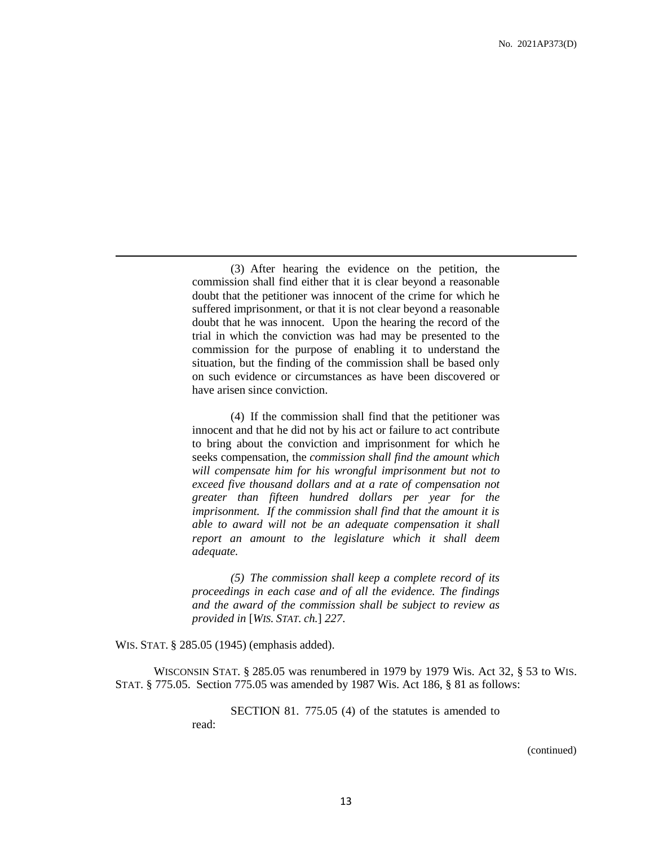(3) After hearing the evidence on the petition, the commission shall find either that it is clear beyond a reasonable doubt that the petitioner was innocent of the crime for which he suffered imprisonment, or that it is not clear beyond a reasonable doubt that he was innocent. Upon the hearing the record of the trial in which the conviction was had may be presented to the commission for the purpose of enabling it to understand the situation, but the finding of the commission shall be based only on such evidence or circumstances as have been discovered or have arisen since conviction.

(4) If the commission shall find that the petitioner was innocent and that he did not by his act or failure to act contribute to bring about the conviction and imprisonment for which he seeks compensation, the *commission shall find the amount which will compensate him for his wrongful imprisonment but not to exceed five thousand dollars and at a rate of compensation not greater than fifteen hundred dollars per year for the imprisonment. If the commission shall find that the amount it is able to award will not be an adequate compensation it shall report an amount to the legislature which it shall deem adequate.*

*(5) The commission shall keep a complete record of its proceedings in each case and of all the evidence. The findings and the award of the commission shall be subject to review as provided in* [*WIS. STAT. ch.*] *227*.

WIS. STAT. § 285.05 (1945) (emphasis added).

 $\overline{\phantom{a}}$ 

WISCONSIN STAT. § 285.05 was renumbered in 1979 by 1979 Wis. Act 32, § 53 to WIS. STAT. § 775.05. Section 775.05 was amended by 1987 Wis. Act 186, § 81 as follows:

> SECTION 81. 775.05 (4) of the statutes is amended to read:

> > (continued)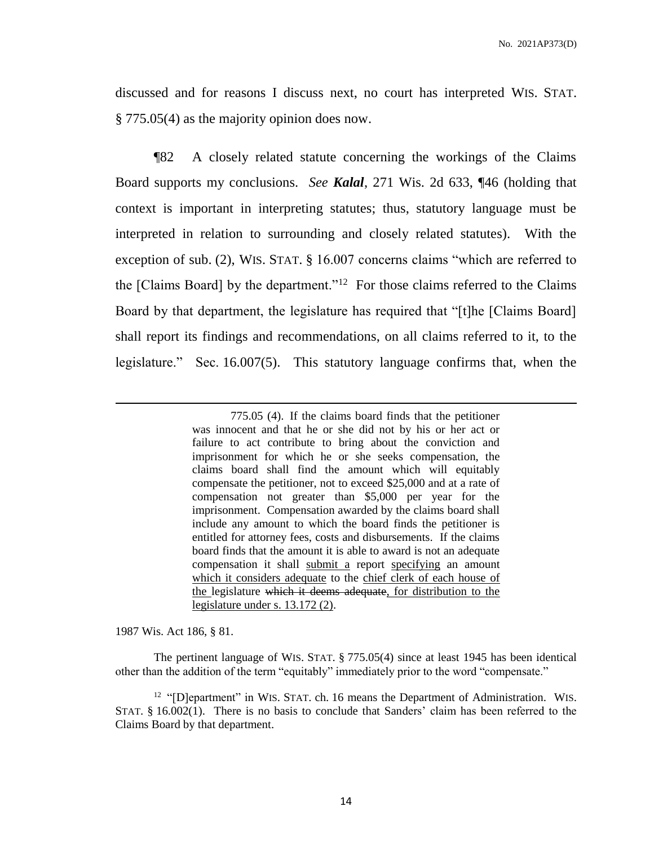discussed and for reasons I discuss next, no court has interpreted WIS. STAT. § 775.05(4) as the majority opinion does now.

¶82 A closely related statute concerning the workings of the Claims Board supports my conclusions. *See Kalal*, 271 Wis. 2d 633, ¶46 (holding that context is important in interpreting statutes; thus, statutory language must be interpreted in relation to surrounding and closely related statutes). With the exception of sub. (2), WIS. STAT. § 16.007 concerns claims "which are referred to the [Claims Board] by the department."<sup>12</sup> For those claims referred to the Claims Board by that department, the legislature has required that "[t]he [Claims Board] shall report its findings and recommendations, on all claims referred to it, to the legislature." Sec. 16.007(5). This statutory language confirms that, when the

1987 Wis. Act 186, § 81.

 $\overline{\phantom{a}}$ 

The pertinent language of WIS. STAT. § 775.05(4) since at least 1945 has been identical other than the addition of the term "equitably" immediately prior to the word "compensate."

<sup>12</sup> "[D]epartment" in WIS. STAT. ch. 16 means the Department of Administration. WIS. STAT. § 16.002(1). There is no basis to conclude that Sanders' claim has been referred to the Claims Board by that department.

<sup>775.05 (4).</sup> If the claims board finds that the petitioner was innocent and that he or she did not by his or her act or failure to act contribute to bring about the conviction and imprisonment for which he or she seeks compensation, the claims board shall find the amount which will equitably compensate the petitioner, not to exceed \$25,000 and at a rate of compensation not greater than \$5,000 per year for the imprisonment. Compensation awarded by the claims board shall include any amount to which the board finds the petitioner is entitled for attorney fees, costs and disbursements. If the claims board finds that the amount it is able to award is not an adequate compensation it shall submit a report specifying an amount which it considers adequate to the chief clerk of each house of the legislature which it deems adequate, for distribution to the legislature under s. 13.172 (2).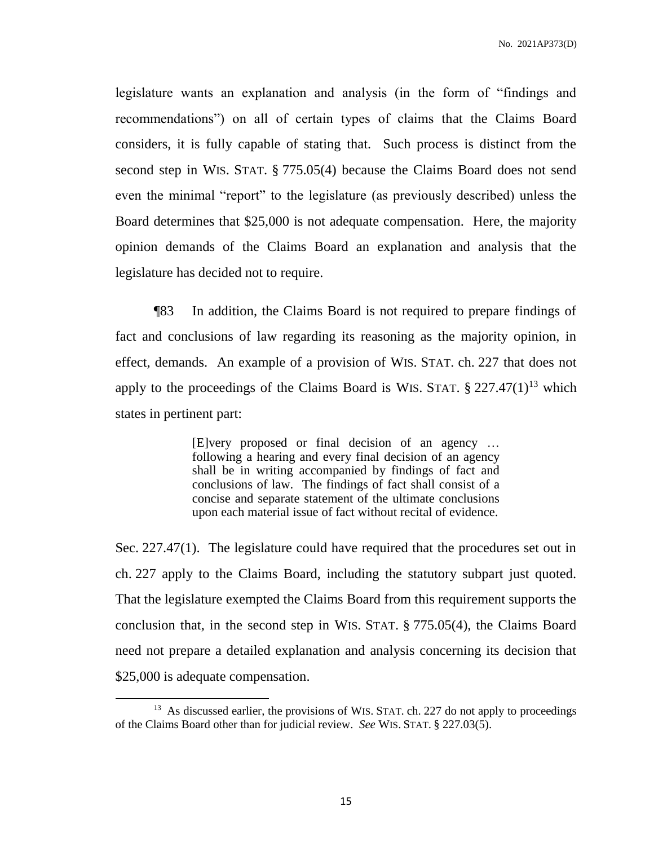legislature wants an explanation and analysis (in the form of "findings and recommendations") on all of certain types of claims that the Claims Board considers, it is fully capable of stating that. Such process is distinct from the second step in WIS. STAT. § 775.05(4) because the Claims Board does not send even the minimal "report" to the legislature (as previously described) unless the Board determines that \$25,000 is not adequate compensation. Here, the majority opinion demands of the Claims Board an explanation and analysis that the legislature has decided not to require.

¶83 In addition, the Claims Board is not required to prepare findings of fact and conclusions of law regarding its reasoning as the majority opinion, in effect, demands. An example of a provision of WIS. STAT. ch. 227 that does not apply to the proceedings of the Claims Board is WIS. STAT.  $\S 227.47(1)^{13}$  which states in pertinent part:

> [E]very proposed or final decision of an agency … following a hearing and every final decision of an agency shall be in writing accompanied by findings of fact and conclusions of law. The findings of fact shall consist of a concise and separate statement of the ultimate conclusions upon each material issue of fact without recital of evidence.

Sec. 227.47(1). The legislature could have required that the procedures set out in ch. 227 apply to the Claims Board, including the statutory subpart just quoted. That the legislature exempted the Claims Board from this requirement supports the conclusion that, in the second step in WIS. STAT. § 775.05(4), the Claims Board need not prepare a detailed explanation and analysis concerning its decision that \$25,000 is adequate compensation.

l

<sup>&</sup>lt;sup>13</sup> As discussed earlier, the provisions of WIS. STAT. ch. 227 do not apply to proceedings of the Claims Board other than for judicial review. *See* WIS. STAT. § 227.03(5).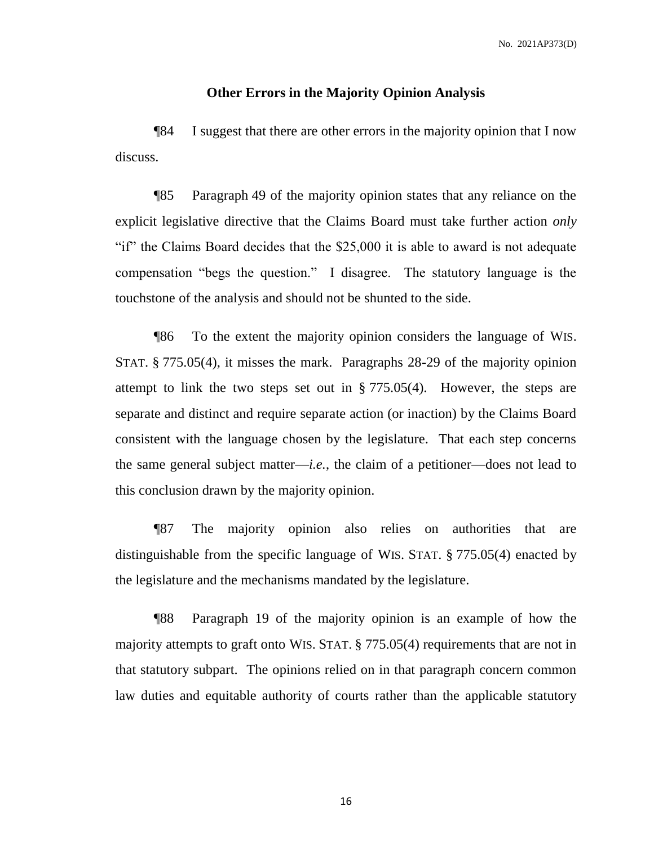No. 2021AP373(D)

#### **Other Errors in the Majority Opinion Analysis**

¶84 I suggest that there are other errors in the majority opinion that I now discuss.

¶85 Paragraph 49 of the majority opinion states that any reliance on the explicit legislative directive that the Claims Board must take further action *only* "if" the Claims Board decides that the \$25,000 it is able to award is not adequate compensation "begs the question." I disagree. The statutory language is the touchstone of the analysis and should not be shunted to the side.

¶86 To the extent the majority opinion considers the language of WIS. STAT. § 775.05(4), it misses the mark. Paragraphs 28-29 of the majority opinion attempt to link the two steps set out in  $\S 775.05(4)$ . However, the steps are separate and distinct and require separate action (or inaction) by the Claims Board consistent with the language chosen by the legislature. That each step concerns the same general subject matter—*i.e.*, the claim of a petitioner—does not lead to this conclusion drawn by the majority opinion.

¶87 The majority opinion also relies on authorities that are distinguishable from the specific language of WIS. STAT. § 775.05(4) enacted by the legislature and the mechanisms mandated by the legislature.

¶88 Paragraph 19 of the majority opinion is an example of how the majority attempts to graft onto WIS. STAT. § 775.05(4) requirements that are not in that statutory subpart. The opinions relied on in that paragraph concern common law duties and equitable authority of courts rather than the applicable statutory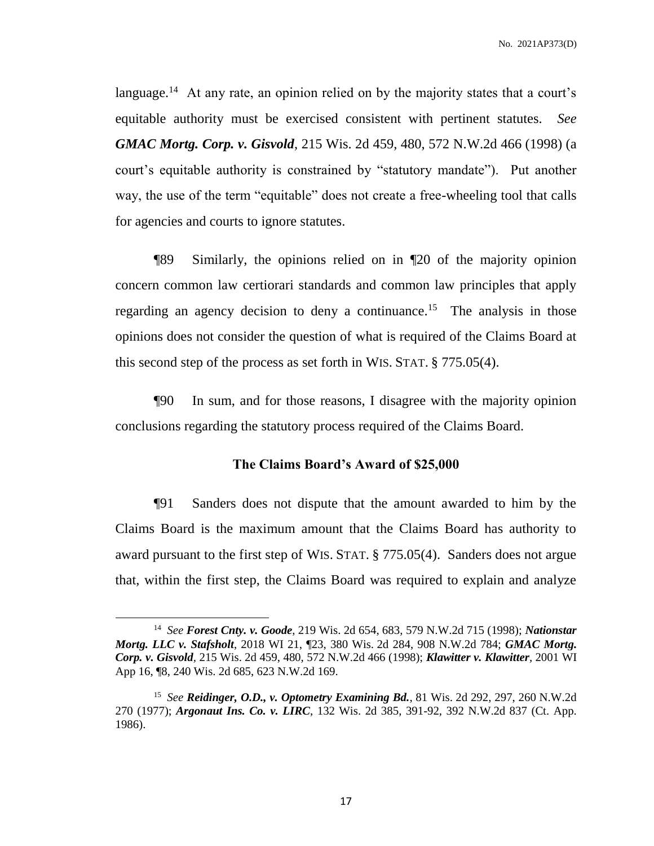language.<sup>14</sup> At any rate, an opinion relied on by the majority states that a court's equitable authority must be exercised consistent with pertinent statutes. *See GMAC Mortg. Corp. v. Gisvold*, 215 Wis. 2d 459, 480, 572 N.W.2d 466 (1998) (a court's equitable authority is constrained by "statutory mandate"). Put another way, the use of the term "equitable" does not create a free-wheeling tool that calls for agencies and courts to ignore statutes.

¶89 Similarly, the opinions relied on in ¶20 of the majority opinion concern common law certiorari standards and common law principles that apply regarding an agency decision to deny a continuance.<sup>15</sup> The analysis in those opinions does not consider the question of what is required of the Claims Board at this second step of the process as set forth in WIS. STAT. § 775.05(4).

¶90 In sum, and for those reasons, I disagree with the majority opinion conclusions regarding the statutory process required of the Claims Board.

#### **The Claims Board's Award of \$25,000**

¶91 Sanders does not dispute that the amount awarded to him by the Claims Board is the maximum amount that the Claims Board has authority to award pursuant to the first step of WIS. STAT. § 775.05(4). Sanders does not argue that, within the first step, the Claims Board was required to explain and analyze

 $\overline{\phantom{a}}$ 

<sup>14</sup> *See Forest Cnty. v. Goode*, 219 Wis. 2d 654, 683, 579 N.W.2d 715 (1998); *Nationstar Mortg. LLC v. Stafsholt*, 2018 WI 21, ¶23, 380 Wis. 2d 284, 908 N.W.2d 784; *GMAC Mortg. Corp. v. Gisvold,* 215 Wis. 2d 459, 480, 572 N.W.2d 466 (1998); *Klawitter v. Klawitter,* 2001 WI App 16, ¶8, 240 Wis. 2d 685, 623 N.W.2d 169.

<sup>15</sup> *See Reidinger, O.D., v. Optometry Examining Bd.*, 81 Wis. 2d 292, 297, 260 N.W.2d 270 (1977); *Argonaut Ins. Co. v. LIRC*, 132 Wis. 2d 385, 391-92, 392 N.W.2d 837 (Ct. App. 1986).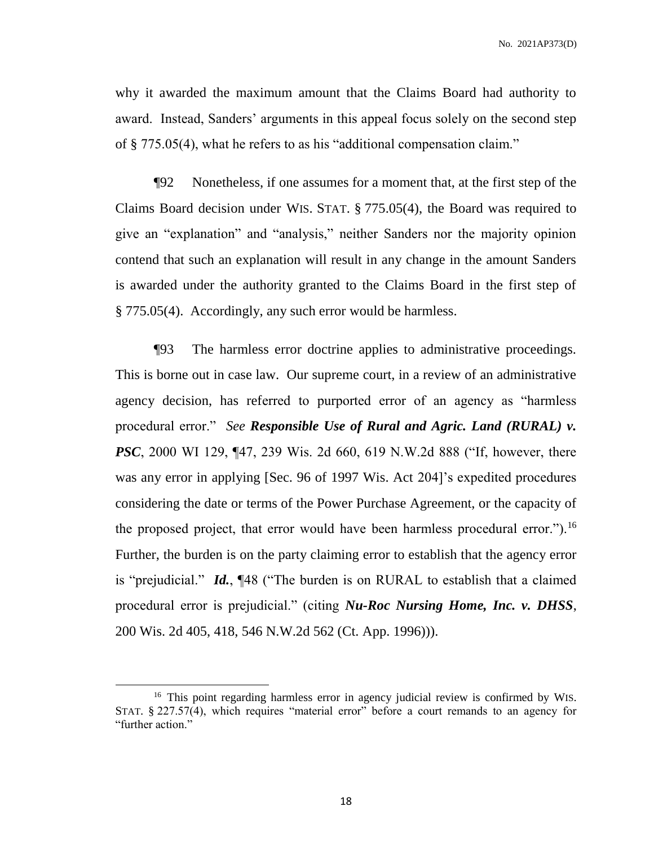why it awarded the maximum amount that the Claims Board had authority to award. Instead, Sanders' arguments in this appeal focus solely on the second step of § 775.05(4), what he refers to as his "additional compensation claim."

¶92 Nonetheless, if one assumes for a moment that, at the first step of the Claims Board decision under WIS. STAT. § 775.05(4), the Board was required to give an "explanation" and "analysis," neither Sanders nor the majority opinion contend that such an explanation will result in any change in the amount Sanders is awarded under the authority granted to the Claims Board in the first step of § 775.05(4). Accordingly, any such error would be harmless.

¶93 The harmless error doctrine applies to administrative proceedings. This is borne out in case law. Our supreme court, in a review of an administrative agency decision, has referred to purported error of an agency as "harmless procedural error." *See Responsible Use of Rural and Agric. Land (RURAL) v. PSC*, 2000 WI 129, [47, 239 Wis. 2d 660, 619 N.W.2d 888 ("If, however, there was any error in applying [Sec. 96 of 1997 Wis. Act 204]'s expedited procedures considering the date or terms of the Power Purchase Agreement, or the capacity of the proposed project, that error would have been harmless procedural error.").<sup>16</sup> Further, the burden is on the party claiming error to establish that the agency error is "prejudicial." *Id.*, ¶48 ("The burden is on RURAL to establish that a claimed procedural error is prejudicial." (citing *Nu-Roc Nursing Home, Inc. v. DHSS*, 200 Wis. 2d 405, 418, 546 N.W.2d 562 (Ct. App. 1996))).

 $\overline{\phantom{a}}$ 

<sup>&</sup>lt;sup>16</sup> This point regarding harmless error in agency judicial review is confirmed by WIS. STAT. § 227.57(4), which requires "material error" before a court remands to an agency for "further action."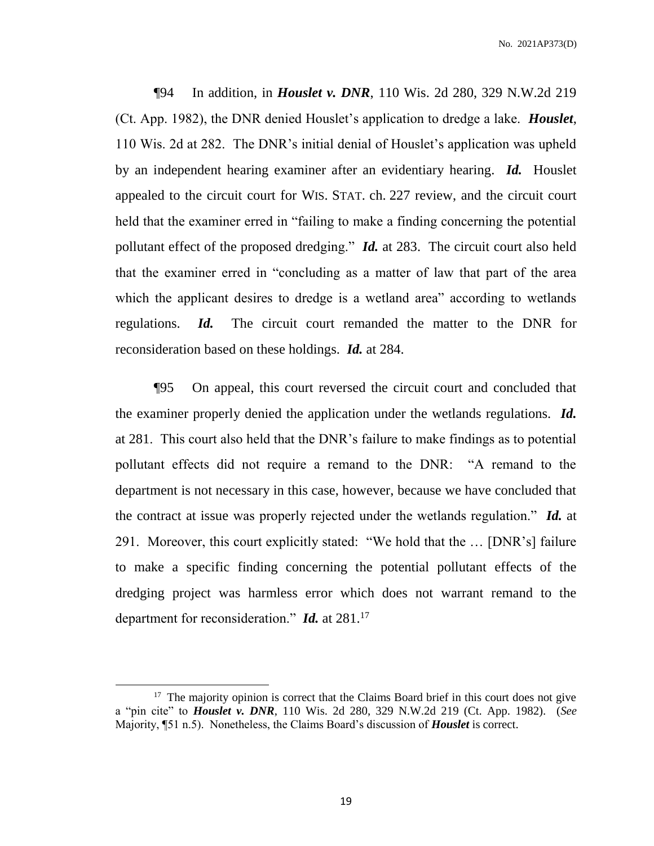¶94 In addition, in *Houslet v. DNR*, 110 Wis. 2d 280, 329 N.W.2d 219 (Ct. App. 1982), the DNR denied Houslet's application to dredge a lake. *Houslet*, 110 Wis. 2d at 282. The DNR's initial denial of Houslet's application was upheld by an independent hearing examiner after an evidentiary hearing. *Id.* Houslet appealed to the circuit court for WIS. STAT. ch. 227 review, and the circuit court held that the examiner erred in "failing to make a finding concerning the potential pollutant effect of the proposed dredging." *Id.* at 283. The circuit court also held that the examiner erred in "concluding as a matter of law that part of the area which the applicant desires to dredge is a wetland area" according to wetlands regulations. *Id.* The circuit court remanded the matter to the DNR for reconsideration based on these holdings. *Id.* at 284.

¶95 On appeal, this court reversed the circuit court and concluded that the examiner properly denied the application under the wetlands regulations. *Id.* at 281. This court also held that the DNR's failure to make findings as to potential pollutant effects did not require a remand to the DNR: "A remand to the department is not necessary in this case, however, because we have concluded that the contract at issue was properly rejected under the wetlands regulation." *Id.* at 291. Moreover, this court explicitly stated: "We hold that the … [DNR's] failure to make a specific finding concerning the potential pollutant effects of the dredging project was harmless error which does not warrant remand to the department for reconsideration." *Id.* at 281.<sup>17</sup>

 $\overline{\phantom{a}}$ 

<sup>&</sup>lt;sup>17</sup> The majority opinion is correct that the Claims Board brief in this court does not give a "pin cite" to *Houslet v. DNR*, 110 Wis. 2d 280, 329 N.W.2d 219 (Ct. App. 1982). (*See* Majority, ¶51 n.5). Nonetheless, the Claims Board's discussion of *Houslet* is correct.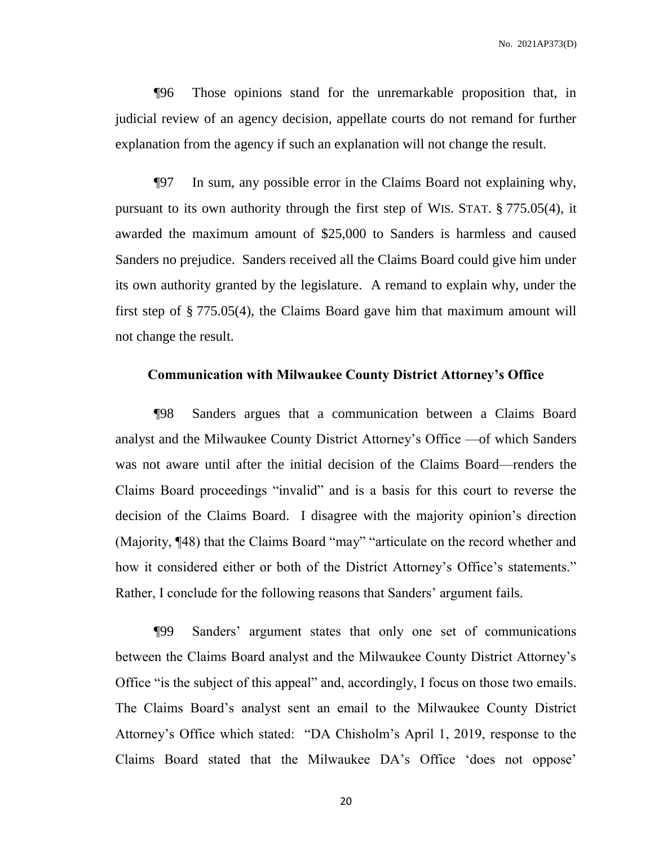No. 2021AP373(D)

¶96 Those opinions stand for the unremarkable proposition that, in judicial review of an agency decision, appellate courts do not remand for further explanation from the agency if such an explanation will not change the result.

¶97 In sum, any possible error in the Claims Board not explaining why, pursuant to its own authority through the first step of WIS. STAT. § 775.05(4), it awarded the maximum amount of \$25,000 to Sanders is harmless and caused Sanders no prejudice. Sanders received all the Claims Board could give him under its own authority granted by the legislature. A remand to explain why, under the first step of § 775.05(4), the Claims Board gave him that maximum amount will not change the result.

#### **Communication with Milwaukee County District Attorney's Office**

¶98 Sanders argues that a communication between a Claims Board analyst and the Milwaukee County District Attorney's Office —of which Sanders was not aware until after the initial decision of the Claims Board—renders the Claims Board proceedings "invalid" and is a basis for this court to reverse the decision of the Claims Board. I disagree with the majority opinion's direction (Majority, ¶48) that the Claims Board "may" "articulate on the record whether and how it considered either or both of the District Attorney's Office's statements." Rather, I conclude for the following reasons that Sanders' argument fails.

¶99 Sanders' argument states that only one set of communications between the Claims Board analyst and the Milwaukee County District Attorney's Office "is the subject of this appeal" and, accordingly, I focus on those two emails. The Claims Board's analyst sent an email to the Milwaukee County District Attorney's Office which stated: "DA Chisholm's April 1, 2019, response to the Claims Board stated that the Milwaukee DA's Office 'does not oppose'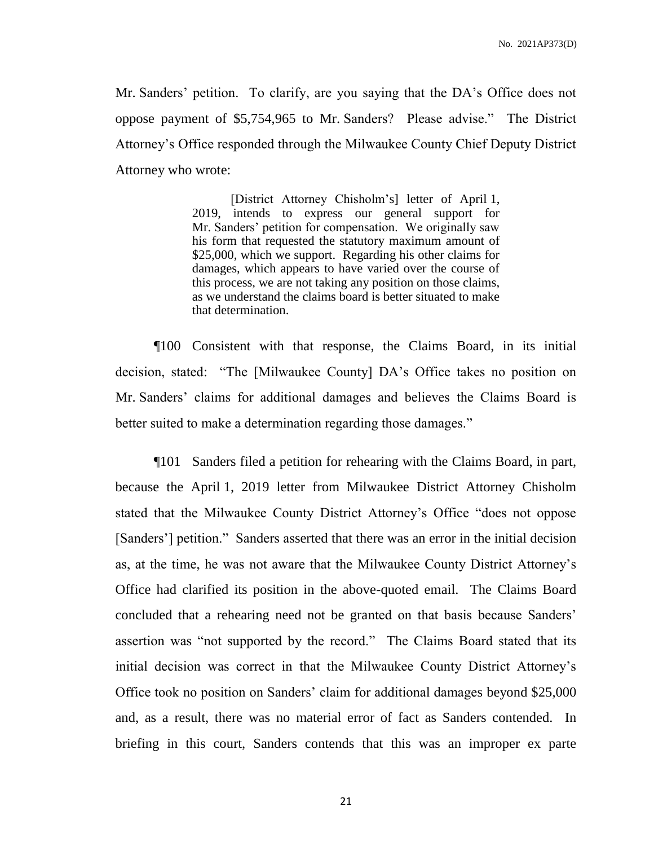Mr. Sanders' petition. To clarify, are you saying that the DA's Office does not oppose payment of \$5,754,965 to Mr. Sanders? Please advise." The District Attorney's Office responded through the Milwaukee County Chief Deputy District Attorney who wrote:

> [District Attorney Chisholm's] letter of April 1, 2019, intends to express our general support for Mr. Sanders' petition for compensation. We originally saw his form that requested the statutory maximum amount of \$25,000, which we support. Regarding his other claims for damages, which appears to have varied over the course of this process, we are not taking any position on those claims, as we understand the claims board is better situated to make that determination.

¶100 Consistent with that response, the Claims Board, in its initial decision, stated: "The [Milwaukee County] DA's Office takes no position on Mr. Sanders' claims for additional damages and believes the Claims Board is better suited to make a determination regarding those damages."

¶101 Sanders filed a petition for rehearing with the Claims Board, in part, because the April 1, 2019 letter from Milwaukee District Attorney Chisholm stated that the Milwaukee County District Attorney's Office "does not oppose [Sanders'] petition." Sanders asserted that there was an error in the initial decision as, at the time, he was not aware that the Milwaukee County District Attorney's Office had clarified its position in the above-quoted email. The Claims Board concluded that a rehearing need not be granted on that basis because Sanders' assertion was "not supported by the record." The Claims Board stated that its initial decision was correct in that the Milwaukee County District Attorney's Office took no position on Sanders' claim for additional damages beyond \$25,000 and, as a result, there was no material error of fact as Sanders contended. In briefing in this court, Sanders contends that this was an improper ex parte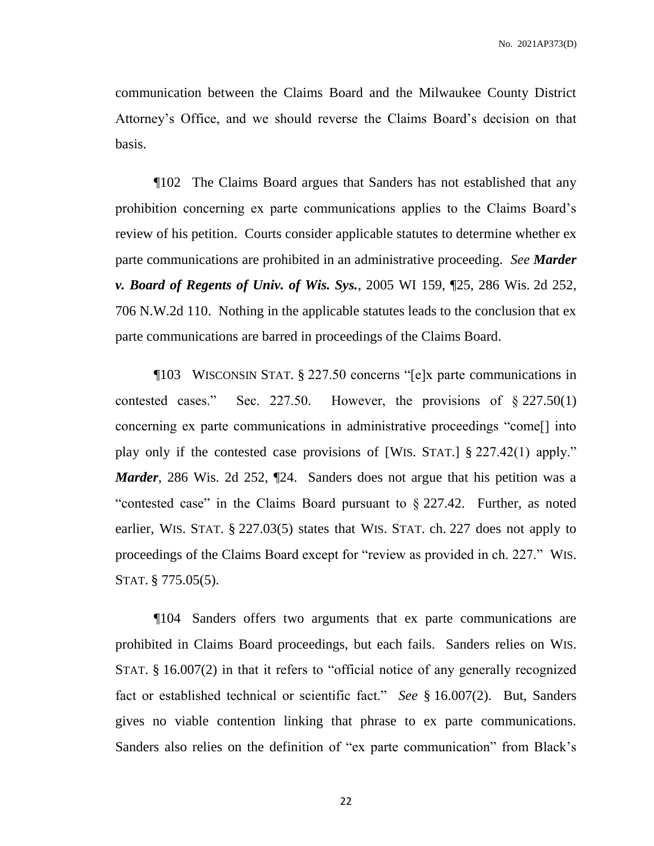communication between the Claims Board and the Milwaukee County District Attorney's Office, and we should reverse the Claims Board's decision on that basis.

¶102 The Claims Board argues that Sanders has not established that any prohibition concerning ex parte communications applies to the Claims Board's review of his petition. Courts consider applicable statutes to determine whether ex parte communications are prohibited in an administrative proceeding. *See Marder v. Board of Regents of Univ. of Wis. Sys.*, 2005 WI 159, ¶25, 286 Wis. 2d 252, 706 N.W.2d 110. Nothing in the applicable statutes leads to the conclusion that ex parte communications are barred in proceedings of the Claims Board.

¶103 WISCONSIN STAT. § 227.50 concerns "[e]x parte communications in contested cases." Sec. 227.50. However, the provisions of § 227.50(1) concerning ex parte communications in administrative proceedings "come[] into play only if the contested case provisions of [WIS. STAT.] § 227.42(1) apply." *Marder*, 286 Wis. 2d 252, ¶24. Sanders does not argue that his petition was a "contested case" in the Claims Board pursuant to § 227.42. Further, as noted earlier, WIS. STAT. § 227.03(5) states that WIS. STAT. ch. 227 does not apply to proceedings of the Claims Board except for "review as provided in ch. 227." WIS. STAT. § 775.05(5).

¶104 Sanders offers two arguments that ex parte communications are prohibited in Claims Board proceedings, but each fails. Sanders relies on WIS. STAT. § 16.007(2) in that it refers to "official notice of any generally recognized fact or established technical or scientific fact." *See* § 16.007(2). But, Sanders gives no viable contention linking that phrase to ex parte communications. Sanders also relies on the definition of "ex parte communication" from Black's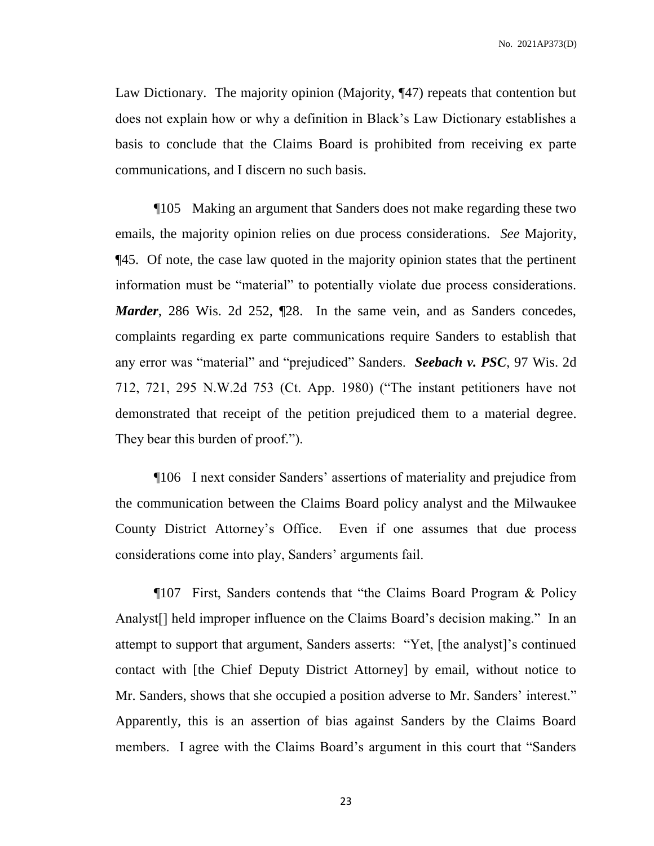Law Dictionary. The majority opinion (Majority, ¶47) repeats that contention but does not explain how or why a definition in Black's Law Dictionary establishes a basis to conclude that the Claims Board is prohibited from receiving ex parte communications, and I discern no such basis.

¶105 Making an argument that Sanders does not make regarding these two emails, the majority opinion relies on due process considerations. *See* Majority, ¶45. Of note, the case law quoted in the majority opinion states that the pertinent information must be "material" to potentially violate due process considerations. *Marder*, 286 Wis. 2d 252, 128. In the same vein, and as Sanders concedes, complaints regarding ex parte communications require Sanders to establish that any error was "material" and "prejudiced" Sanders. *Seebach v. PSC*, 97 Wis. 2d 712, 721, 295 N.W.2d 753 (Ct. App. 1980) ("The instant petitioners have not demonstrated that receipt of the petition prejudiced them to a material degree. They bear this burden of proof.").

¶106 I next consider Sanders' assertions of materiality and prejudice from the communication between the Claims Board policy analyst and the Milwaukee County District Attorney's Office. Even if one assumes that due process considerations come into play, Sanders' arguments fail.

¶107 First, Sanders contends that "the Claims Board Program & Policy Analyst[] held improper influence on the Claims Board's decision making." In an attempt to support that argument, Sanders asserts: "Yet, [the analyst]'s continued contact with [the Chief Deputy District Attorney] by email, without notice to Mr. Sanders, shows that she occupied a position adverse to Mr. Sanders' interest." Apparently, this is an assertion of bias against Sanders by the Claims Board members. I agree with the Claims Board's argument in this court that "Sanders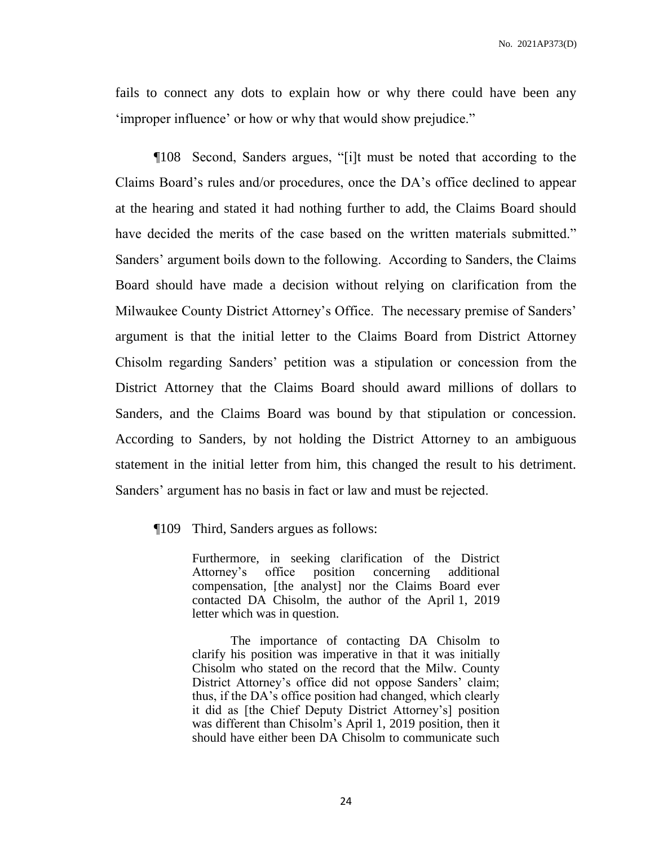fails to connect any dots to explain how or why there could have been any 'improper influence' or how or why that would show prejudice."

¶108 Second, Sanders argues, "[i]t must be noted that according to the Claims Board's rules and/or procedures, once the DA's office declined to appear at the hearing and stated it had nothing further to add, the Claims Board should have decided the merits of the case based on the written materials submitted." Sanders' argument boils down to the following. According to Sanders, the Claims Board should have made a decision without relying on clarification from the Milwaukee County District Attorney's Office. The necessary premise of Sanders' argument is that the initial letter to the Claims Board from District Attorney Chisolm regarding Sanders' petition was a stipulation or concession from the District Attorney that the Claims Board should award millions of dollars to Sanders, and the Claims Board was bound by that stipulation or concession. According to Sanders, by not holding the District Attorney to an ambiguous statement in the initial letter from him, this changed the result to his detriment. Sanders' argument has no basis in fact or law and must be rejected.

¶109 Third, Sanders argues as follows:

Furthermore, in seeking clarification of the District Attorney's office position concerning additional compensation, [the analyst] nor the Claims Board ever contacted DA Chisolm, the author of the April 1, 2019 letter which was in question.

The importance of contacting DA Chisolm to clarify his position was imperative in that it was initially Chisolm who stated on the record that the Milw. County District Attorney's office did not oppose Sanders' claim; thus, if the DA's office position had changed, which clearly it did as [the Chief Deputy District Attorney's] position was different than Chisolm's April 1, 2019 position, then it should have either been DA Chisolm to communicate such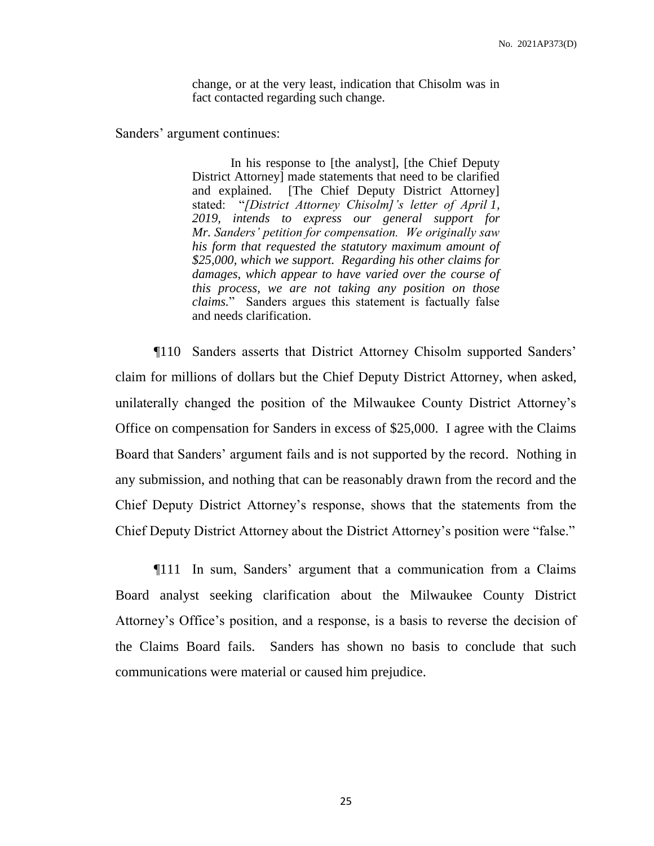change, or at the very least, indication that Chisolm was in fact contacted regarding such change.

Sanders' argument continues:

In his response to [the analyst], [the Chief Deputy District Attorney] made statements that need to be clarified and explained. [The Chief Deputy District Attorney] stated: "*[District Attorney Chisolm]'s letter of April 1, 2019, intends to express our general support for Mr. Sanders' petition for compensation. We originally saw his form that requested the statutory maximum amount of \$25,000, which we support. Regarding his other claims for damages, which appear to have varied over the course of this process, we are not taking any position on those claims.*" Sanders argues this statement is factually false and needs clarification.

¶110 Sanders asserts that District Attorney Chisolm supported Sanders' claim for millions of dollars but the Chief Deputy District Attorney, when asked, unilaterally changed the position of the Milwaukee County District Attorney's Office on compensation for Sanders in excess of \$25,000. I agree with the Claims Board that Sanders' argument fails and is not supported by the record. Nothing in any submission, and nothing that can be reasonably drawn from the record and the Chief Deputy District Attorney's response, shows that the statements from the Chief Deputy District Attorney about the District Attorney's position were "false."

¶111 In sum, Sanders' argument that a communication from a Claims Board analyst seeking clarification about the Milwaukee County District Attorney's Office's position, and a response, is a basis to reverse the decision of the Claims Board fails. Sanders has shown no basis to conclude that such communications were material or caused him prejudice.